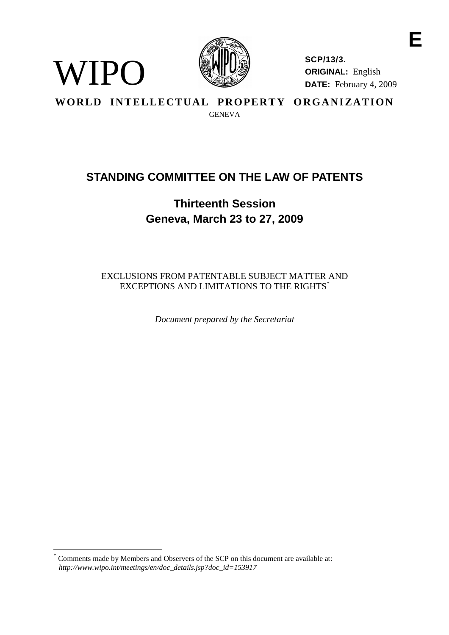

WIPO

**SCP/13/3. ORIGINAL:** English **DATE:** February 4, 2009

**WORLD INTELLECTUAL PROPERTY ORGANIZATION**

**GENEVA** 

# **STANDING COMMITTEE ON THE LAW OF PATENTS**

# **Thirteenth Session Geneva, March 23 to 27, 2009**

EXCLUSIONS FROM PATENTABLE SUBJECT MATTER AND EXCEPTIONS AND LIMITATIONS TO THE RIGHTS<sup>\*</sup>

*Document prepared by the Secretariat*

\* Comments made by Members and Observers of the SCP on this document are available at: *http://www.wipo.int/meetings/en/doc\_details.jsp?doc\_id=153917*

**E**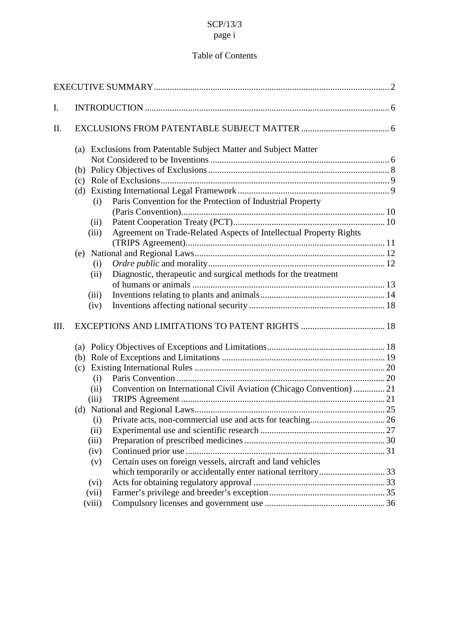# Table of Contents

| I.   |                                                                                                                                                                                                                                                                                                                                       |  |
|------|---------------------------------------------------------------------------------------------------------------------------------------------------------------------------------------------------------------------------------------------------------------------------------------------------------------------------------------|--|
| II.  |                                                                                                                                                                                                                                                                                                                                       |  |
|      | (a) Exclusions from Patentable Subject Matter and Subject Matter<br>Paris Convention for the Protection of Industrial Property<br>(i)<br>(ii)<br>Agreement on Trade-Related Aspects of Intellectual Property Rights<br>(iii)<br>(e)<br>(i)<br>Diagnostic, therapeutic and surgical methods for the treatment<br>(ii)<br>(iii)<br>(iv) |  |
| III. |                                                                                                                                                                                                                                                                                                                                       |  |
|      | (i)<br>Convention on International Civil Aviation (Chicago Convention) 21<br>(ii)<br>(iii)<br>(i)<br>(ii)<br>(iii)<br>(iv)                                                                                                                                                                                                            |  |
|      | Certain uses on foreign vessels, aircraft and land vehicles<br>(v)<br>(vi)<br>(vii)<br>(viii)                                                                                                                                                                                                                                         |  |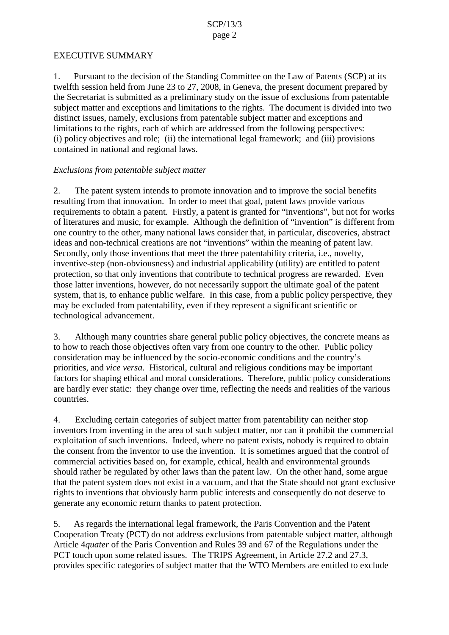## EXECUTIVE SUMMARY

1. Pursuant to the decision of the Standing Committee on the Law of Patents (SCP) at its twelfth session held from June 23 to 27, 2008, in Geneva, the present document prepared by the Secretariat is submitted as a preliminary study on the issue of exclusions from patentable subject matter and exceptions and limitations to the rights. The document is divided into two distinct issues, namely, exclusions from patentable subject matter and exceptions and limitations to the rights, each of which are addressed from the following perspectives: (i) policy objectives and role; (ii) the international legal framework; and (iii) provisions contained in national and regional laws.

## *Exclusions from patentable subject matter*

2. The patent system intends to promote innovation and to improve the social benefits resulting from that innovation. In order to meet that goal, patent laws provide various requirements to obtain a patent. Firstly, a patent is granted for "inventions", but not for works of literatures and music, for example. Although the definition of "invention" is different from one country to the other, many national laws consider that, in particular, discoveries, abstract ideas and non-technical creations are not "inventions" within the meaning of patent law. Secondly, only those inventions that meet the three patentability criteria, i.e., novelty, inventive-step (non-obviousness) and industrial applicability (utility) are entitled to patent protection, so that only inventions that contribute to technical progress are rewarded. Even those latter inventions, however, do not necessarily support the ultimate goal of the patent system, that is, to enhance public welfare. In this case, from a public policy perspective, they may be excluded from patentability, even if they represent a significant scientific or technological advancement.

3. Although many countries share general public policy objectives, the concrete means as to how to reach those objectives often vary from one country to the other. Public policy consideration may be influenced by the socio-economic conditions and the country's priorities, and *vice versa*. Historical, cultural and religious conditions may be important factors for shaping ethical and moral considerations. Therefore, public policy considerations are hardly ever static: they change over time, reflecting the needs and realities of the various countries.

4. Excluding certain categories of subject matter from patentability can neither stop inventors from inventing in the area of such subject matter, nor can it prohibit the commercial exploitation of such inventions. Indeed, where no patent exists, nobody is required to obtain the consent from the inventor to use the invention. It is sometimes argued that the control of commercial activities based on, for example, ethical, health and environmental grounds should rather be regulated by other laws than the patent law. On the other hand, some argue that the patent system does not exist in a vacuum, and that the State should not grant exclusive rights to inventions that obviously harm public interests and consequently do not deserve to generate any economic return thanks to patent protection.

5. As regards the international legal framework, the Paris Convention and the Patent Cooperation Treaty (PCT) do not address exclusions from patentable subject matter, although Article 4*quater* of the Paris Convention and Rules 39 and 67 of the Regulations under the PCT touch upon some related issues. The TRIPS Agreement, in Article 27.2 and 27.3, provides specific categories of subject matter that the WTO Members are entitled to exclude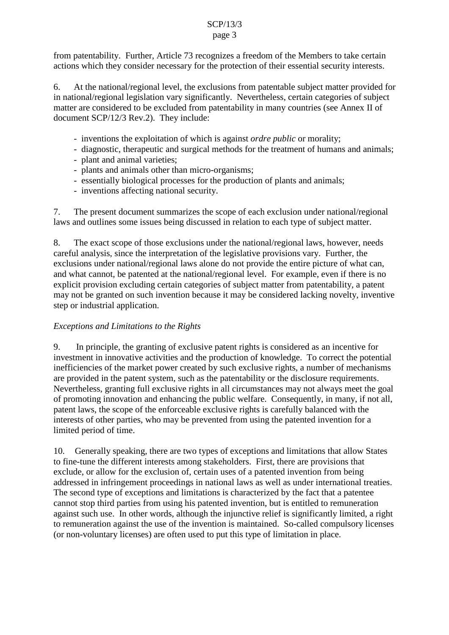# SCP/13/3

### page 3

from patentability. Further, Article 73 recognizes a freedom of the Members to take certain actions which they consider necessary for the protection of their essential security interests.

6. At the national/regional level, the exclusions from patentable subject matter provided for in national/regional legislation vary significantly. Nevertheless, certain categories of subject matter are considered to be excluded from patentability in many countries (see Annex II of document SCP/12/3 Rev.2). They include:

- inventions the exploitation of which is against *ordre public* or morality;
- diagnostic, therapeutic and surgical methods for the treatment of humans and animals;
- plant and animal varieties;
- plants and animals other than micro-organisms;
- essentially biological processes for the production of plants and animals;
- inventions affecting national security.

7. The present document summarizes the scope of each exclusion under national/regional laws and outlines some issues being discussed in relation to each type of subject matter.

8. The exact scope of those exclusions under the national/regional laws, however, needs careful analysis, since the interpretation of the legislative provisions vary. Further, the exclusions under national/regional laws alone do not provide the entire picture of what can, and what cannot, be patented at the national/regional level. For example, even if there is no explicit provision excluding certain categories of subject matter from patentability, a patent may not be granted on such invention because it may be considered lacking novelty, inventive step or industrial application.

# *Exceptions and Limitations to the Rights*

9. In principle, the granting of exclusive patent rights is considered as an incentive for investment in innovative activities and the production of knowledge. To correct the potential inefficiencies of the market power created by such exclusive rights, a number of mechanisms are provided in the patent system, such as the patentability or the disclosure requirements. Nevertheless, granting full exclusive rights in all circumstances may not always meet the goal of promoting innovation and enhancing the public welfare. Consequently, in many, if not all, patent laws, the scope of the enforceable exclusive rights is carefully balanced with the interests of other parties, who may be prevented from using the patented invention for a limited period of time.

10. Generally speaking, there are two types of exceptions and limitations that allow States to fine-tune the different interests among stakeholders. First, there are provisions that exclude, or allow for the exclusion of, certain uses of a patented invention from being addressed in infringement proceedings in national laws as well as under international treaties. The second type of exceptions and limitations is characterized by the fact that a patentee cannot stop third parties from using his patented invention, but is entitled to remuneration against such use. In other words, although the injunctive relief is significantly limited, a right to remuneration against the use of the invention is maintained. So-called compulsory licenses (or non-voluntary licenses) are often used to put this type of limitation in place.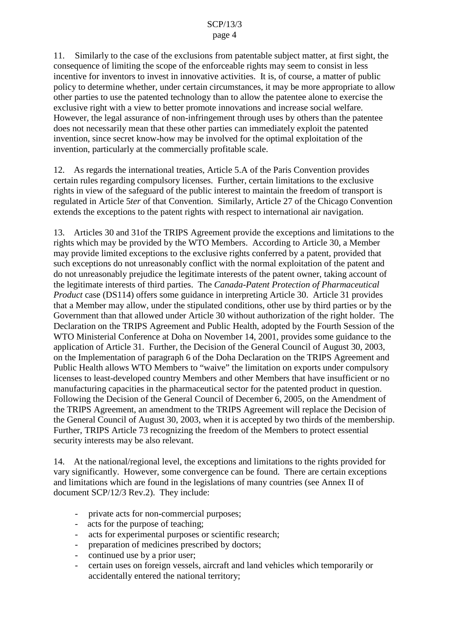## 11. Similarly to the case of the exclusions from patentable subject matter, at first sight, the consequence of limiting the scope of the enforceable rights may seem to consist in less incentive for inventors to invest in innovative activities. It is, of course, a matter of public policy to determine whether, under certain circumstances, it may be more appropriate to allow other parties to use the patented technology than to allow the patentee alone to exercise the exclusive right with a view to better promote innovations and increase social welfare. However, the legal assurance of non-infringement through uses by others than the patentee does not necessarily mean that these other parties can immediately exploit the patented invention, since secret know-how may be involved for the optimal exploitation of the invention, particularly at the commercially profitable scale.

12. As regards the international treaties, Article 5.A of the Paris Convention provides certain rules regarding compulsory licenses. Further, certain limitations to the exclusive rights in view of the safeguard of the public interest to maintain the freedom of transport is regulated in Article 5*ter* of that Convention. Similarly, Article 27 of the Chicago Convention extends the exceptions to the patent rights with respect to international air navigation.

13. Articles 30 and 31of the TRIPS Agreement provide the exceptions and limitations to the rights which may be provided by the WTO Members. According to Article 30, a Member may provide limited exceptions to the exclusive rights conferred by a patent, provided that such exceptions do not unreasonably conflict with the normal exploitation of the patent and do not unreasonably prejudice the legitimate interests of the patent owner, taking account of the legitimate interests of third parties. The *Canada-Patent Protection of Pharmaceutical Product* case (DS114) offers some guidance in interpreting Article 30. Article 31 provides that a Member may allow, under the stipulated conditions, other use by third parties or by the Government than that allowed under Article 30 without authorization of the right holder. The Declaration on the TRIPS Agreement and Public Health, adopted by the Fourth Session of the WTO Ministerial Conference at Doha on November 14, 2001, provides some guidance to the application of Article 31. Further, the Decision of the General Council of August 30, 2003, on the Implementation of paragraph 6 of the Doha Declaration on the TRIPS Agreement and Public Health allows WTO Members to "waive" the limitation on exports under compulsory licenses to least-developed country Members and other Members that have insufficient or no manufacturing capacities in the pharmaceutical sector for the patented product in question. Following the Decision of the General Council of December 6, 2005, on the Amendment of the TRIPS Agreement, an amendment to the TRIPS Agreement will replace the Decision of the General Council of August 30, 2003, when it is accepted by two thirds of the membership. Further, TRIPS Article 73 recognizing the freedom of the Members to protect essential security interests may be also relevant.

14. At the national/regional level, the exceptions and limitations to the rights provided for vary significantly. However, some convergence can be found. There are certain exceptions and limitations which are found in the legislations of many countries (see Annex II of document SCP/12/3 Rev.2). They include:

- private acts for non-commercial purposes;
- acts for the purpose of teaching;
- acts for experimental purposes or scientific research;
- preparation of medicines prescribed by doctors;
- continued use by a prior user;
- certain uses on foreign vessels, aircraft and land vehicles which temporarily or accidentally entered the national territory;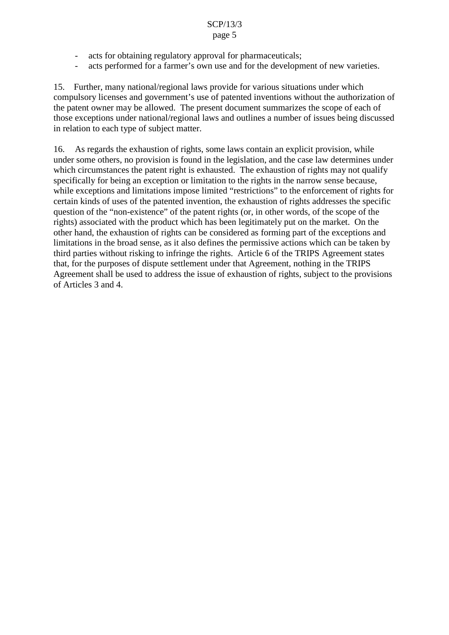# SCP/13/3

### page 5

- acts for obtaining regulatory approval for pharmaceuticals;
- acts performed for a farmer's own use and for the development of new varieties.

15. Further, many national/regional laws provide for various situations under which compulsory licenses and government's use of patented inventions without the authorization of the patent owner may be allowed. The present document summarizes the scope of each of those exceptions under national/regional laws and outlines a number of issues being discussed in relation to each type of subject matter.

16. As regards the exhaustion of rights, some laws contain an explicit provision, while under some others, no provision is found in the legislation, and the case law determines under which circumstances the patent right is exhausted. The exhaustion of rights may not qualify specifically for being an exception or limitation to the rights in the narrow sense because, while exceptions and limitations impose limited "restrictions" to the enforcement of rights for certain kinds of uses of the patented invention, the exhaustion of rights addresses the specific question of the "non-existence" of the patent rights (or, in other words, of the scope of the rights) associated with the product which has been legitimately put on the market. On the other hand, the exhaustion of rights can be considered as forming part of the exceptions and limitations in the broad sense, as it also defines the permissive actions which can be taken by third parties without risking to infringe the rights. Article 6 of the TRIPS Agreement states that, for the purposes of dispute settlement under that Agreement, nothing in the TRIPS Agreement shall be used to address the issue of exhaustion of rights, subject to the provisions of Articles 3 and 4.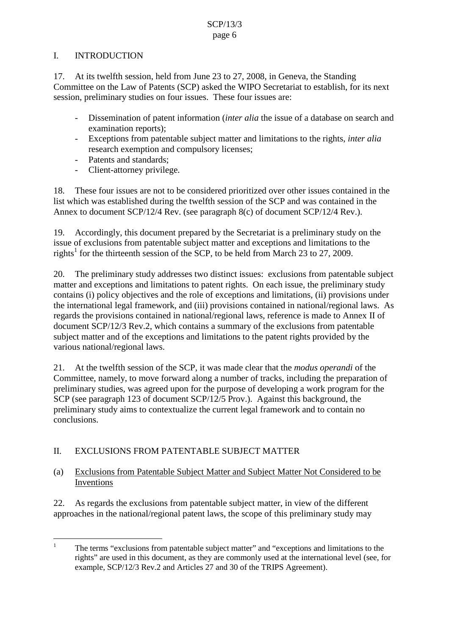## I. INTRODUCTION

17. At its twelfth session, held from June 23 to 27, 2008, in Geneva, the Standing Committee on the Law of Patents (SCP) asked the WIPO Secretariat to establish, for its next session, preliminary studies on four issues. These four issues are:

- Dissemination of patent information (*inter alia* the issue of a database on search and examination reports);
- Exceptions from patentable subject matter and limitations to the rights, *inter alia* research exemption and compulsory licenses;
- Patents and standards;
- Client-attorney privilege.

18. These four issues are not to be considered prioritized over other issues contained in the list which was established during the twelfth session of the SCP and was contained in the Annex to document SCP/12/4 Rev. (see paragraph 8(c) of document SCP/12/4 Rev.).

19. Accordingly, this document prepared by the Secretariat is a preliminary study on the issue of exclusions from patentable subject matter and exceptions and limitations to the rights <sup>1</sup> for the thirteenth session of the SCP, to be held from March 23 to 27, 2009.

20. The preliminary study addresses two distinct issues: exclusions from patentable subject matter and exceptions and limitations to patent rights. On each issue, the preliminary study contains (i) policy objectives and the role of exceptions and limitations, (ii) provisions under the international legal framework, and (iii) provisions contained in national/regional laws. As regards the provisions contained in national/regional laws, reference is made to Annex II of document SCP/12/3 Rev.2, which contains a summary of the exclusions from patentable subject matter and of the exceptions and limitations to the patent rights provided by the various national/regional laws.

21. At the twelfth session of the SCP, it was made clear that the *modus operandi* of the Committee, namely, to move forward along a number of tracks, including the preparation of preliminary studies, was agreed upon for the purpose of developing a work program for the SCP (see paragraph 123 of document SCP/12/5 Prov.). Against this background, the preliminary study aims to contextualize the current legal framework and to contain no conclusions.

# II. EXCLUSIONS FROM PATENTABLE SUBJECT MATTER

## (a) Exclusions from Patentable Subject Matter and Subject Matter Not Considered to be Inventions

22. As regards the exclusions from patentable subject matter, in view of the different approaches in the national/regional patent laws, the scope of this preliminary study may

<sup>&</sup>lt;sup>1</sup> The terms "exclusions from patentable subject matter" and "exceptions and limitations to the rights" are used in this document, as they are commonly used at the international level (see, for example, SCP/12/3 Rev.2 and Articles 27 and 30 of the TRIPS Agreement).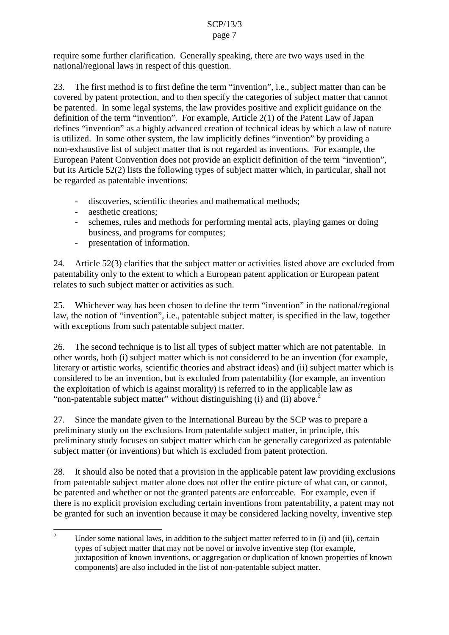# SCP/13/3

# page 7

require some further clarification. Generally speaking, there are two ways used in the national/regional laws in respect of this question.

23. The first method is to first define the term "invention", i.e., subject matter than can be covered by patent protection, and to then specify the categories of subject matter that cannot be patented. In some legal systems, the law provides positive and explicit guidance on the definition of the term "invention". For example, Article 2(1) of the Patent Law of Japan defines "invention" as a highly advanced creation of technical ideas by which a law of nature is utilized. In some other system, the law implicitly defines "invention" by providing a non-exhaustive list of subject matter that is not regarded as inventions. For example, the European Patent Convention does not provide an explicit definition of the term "invention", but its Article 52(2) lists the following types of subject matter which, in particular, shall not be regarded as patentable inventions:

- discoveries, scientific theories and mathematical methods;
- aesthetic creations:
- schemes, rules and methods for performing mental acts, playing games or doing business, and programs for computes;
- presentation of information.

24. Article 52(3) clarifies that the subject matter or activities listed above are excluded from patentability only to the extent to which a European patent application or European patent relates to such subject matter or activities as such.

25. Whichever way has been chosen to define the term "invention" in the national/regional law, the notion of "invention", i.e., patentable subject matter, is specified in the law, together with exceptions from such patentable subject matter.

26. The second technique is to list all types of subject matter which are not patentable. In other words, both (i) subject matter which is not considered to be an invention (for example, literary or artistic works, scientific theories and abstract ideas) and (ii) subject matter which is considered to be an invention, but is excluded from patentability (for example, an invention the exploitation of which is against morality) is referred to in the applicable law as "non-patentable subject matter" without distinguishing (i) and (ii) above.<sup>2</sup>

27. Since the mandate given to the International Bureau by the SCP was to prepare a preliminary study on the exclusions from patentable subject matter, in principle, this preliminary study focuses on subject matter which can be generally categorized as patentable subject matter (or inventions) but which is excluded from patent protection.

28. It should also be noted that a provision in the applicable patent law providing exclusions from patentable subject matter alone does not offer the entire picture of what can, or cannot, be patented and whether or not the granted patents are enforceable. For example, even if there is no explicit provision excluding certain inventions from patentability, a patent may not be granted for such an invention because it may be considered lacking novelty, inventive step

<sup>&</sup>lt;sup>2</sup> Under some national laws, in addition to the subject matter referred to in (i) and (ii), certain types of subject matter that may not be novel or involve inventive step (for example, juxtaposition of known inventions, or aggregation or duplication of known properties of known components) are also included in the list of non-patentable subject matter.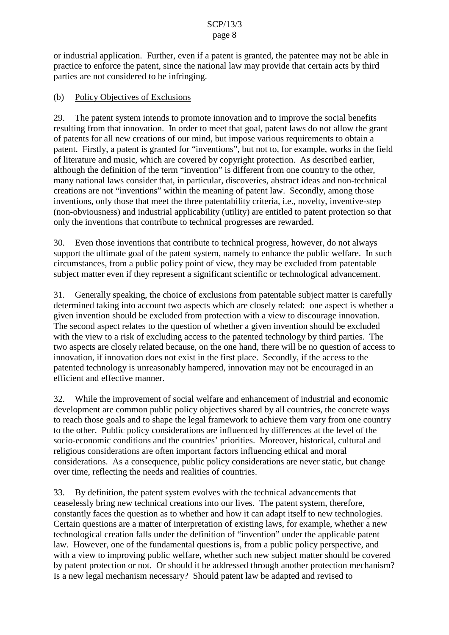or industrial application. Further, even if a patent is granted, the patentee may not be able in practice to enforce the patent, since the national law may provide that certain acts by third parties are not considered to be infringing.

## (b) Policy Objectives of Exclusions

29. The patent system intends to promote innovation and to improve the social benefits resulting from that innovation. In order to meet that goal, patent laws do not allow the grant of patents for all new creations of our mind, but impose various requirements to obtain a patent. Firstly, a patent is granted for "inventions", but not to, for example, works in the field of literature and music, which are covered by copyright protection. As described earlier, although the definition of the term "invention" is different from one country to the other, many national laws consider that, in particular, discoveries, abstract ideas and non-technical creations are not "inventions" within the meaning of patent law. Secondly, among those inventions, only those that meet the three patentability criteria, i.e., novelty, inventive-step (non-obviousness) and industrial applicability (utility) are entitled to patent protection so that only the inventions that contribute to technical progresses are rewarded.

30. Even those inventions that contribute to technical progress, however, do not always support the ultimate goal of the patent system, namely to enhance the public welfare. In such circumstances, from a public policy point of view, they may be excluded from patentable subject matter even if they represent a significant scientific or technological advancement.

31. Generally speaking, the choice of exclusions from patentable subject matter is carefully determined taking into account two aspects which are closely related: one aspect is whether a given invention should be excluded from protection with a view to discourage innovation. The second aspect relates to the question of whether a given invention should be excluded with the view to a risk of excluding access to the patented technology by third parties. The two aspects are closely related because, on the one hand, there will be no question of access to innovation, if innovation does not exist in the first place. Secondly, if the access to the patented technology is unreasonably hampered, innovation may not be encouraged in an efficient and effective manner.

32. While the improvement of social welfare and enhancement of industrial and economic development are common public policy objectives shared by all countries, the concrete ways to reach those goals and to shape the legal framework to achieve them vary from one country to the other. Public policy considerations are influenced by differences at the level of the socio-economic conditions and the countries' priorities. Moreover, historical, cultural and religious considerations are often important factors influencing ethical and moral considerations. As a consequence, public policy considerations are never static, but change over time, reflecting the needs and realities of countries.

33. By definition, the patent system evolves with the technical advancements that ceaselessly bring new technical creations into our lives. The patent system, therefore, constantly faces the question as to whether and how it can adapt itself to new technologies. Certain questions are a matter of interpretation of existing laws, for example, whether a new technological creation falls under the definition of "invention" under the applicable patent law. However, one of the fundamental questions is, from a public policy perspective, and with a view to improving public welfare, whether such new subject matter should be covered by patent protection or not. Or should it be addressed through another protection mechanism? Is a new legal mechanism necessary? Should patent law be adapted and revised to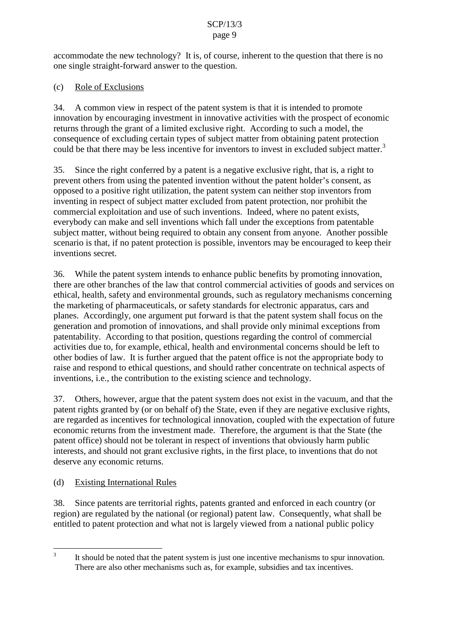accommodate the new technology? It is, of course, inherent to the question that there is no one single straight-forward answer to the question.

# (c) Role of Exclusions

34. A common view in respect of the patent system is that it is intended to promote innovation by encouraging investment in innovative activities with the prospect of economic returns through the grant of a limited exclusive right. According to such a model, the consequence of excluding certain types of subject matter from obtaining patent protection could be that there may be less incentive for inventors to invest in excluded subject matter.<sup>3</sup>

35. Since the right conferred by a patent is a negative exclusive right, that is, a right to prevent others from using the patented invention without the patent holder's consent, as opposed to a positive right utilization, the patent system can neither stop inventors from inventing in respect of subject matter excluded from patent protection, nor prohibit the commercial exploitation and use of such inventions. Indeed, where no patent exists, everybody can make and sell inventions which fall under the exceptions from patentable subject matter, without being required to obtain any consent from anyone. Another possible scenario is that, if no patent protection is possible, inventors may be encouraged to keep their inventions secret.

36. While the patent system intends to enhance public benefits by promoting innovation, there are other branches of the law that control commercial activities of goods and services on ethical, health, safety and environmental grounds, such as regulatory mechanisms concerning the marketing of pharmaceuticals, or safety standards for electronic apparatus, cars and planes. Accordingly, one argument put forward is that the patent system shall focus on the generation and promotion of innovations, and shall provide only minimal exceptions from patentability. According to that position, questions regarding the control of commercial activities due to, for example, ethical, health and environmental concerns should be left to other bodies of law. It is further argued that the patent office is not the appropriate body to raise and respond to ethical questions, and should rather concentrate on technical aspects of inventions, i.e., the contribution to the existing science and technology.

37. Others, however, argue that the patent system does not exist in the vacuum, and that the patent rights granted by (or on behalf of) the State, even if they are negative exclusive rights, are regarded as incentives for technological innovation, coupled with the expectation of future economic returns from the investment made. Therefore, the argument is that the State (the patent office) should not be tolerant in respect of inventions that obviously harm public interests, and should not grant exclusive rights, in the first place, to inventions that do not deserve any economic returns.

# (d) Existing International Rules

38. Since patents are territorial rights, patents granted and enforced in each country (or region) are regulated by the national (or regional) patent law. Consequently, what shall be entitled to patent protection and what not is largely viewed from a national public policy

<sup>3</sup> It should be noted that the patent system is just one incentive mechanisms to spur innovation. There are also other mechanisms such as, for example, subsidies and tax incentives.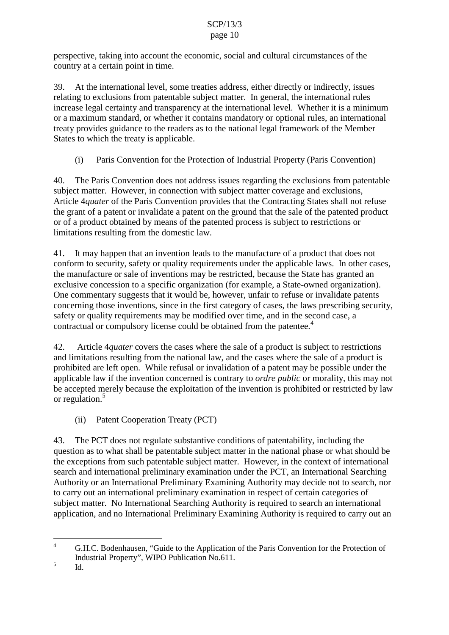perspective, taking into account the economic, social and cultural circumstances of the country at a certain point in time.

39. At the international level, some treaties address, either directly or indirectly, issues relating to exclusions from patentable subject matter. In general, the international rules increase legal certainty and transparency at the international level. Whether it is a minimum or a maximum standard, or whether it contains mandatory or optional rules, an international treaty provides guidance to the readers as to the national legal framework of the Member States to which the treaty is applicable.

(i) Paris Convention for the Protection of Industrial Property (Paris Convention)

40. The Paris Convention does not address issues regarding the exclusions from patentable subject matter. However, in connection with subject matter coverage and exclusions, Article 4*quater* of the Paris Convention provides that the Contracting States shall not refuse the grant of a patent or invalidate a patent on the ground that the sale of the patented product or of a product obtained by means of the patented process is subject to restrictions or limitations resulting from the domestic law.

41. It may happen that an invention leads to the manufacture of a product that does not conform to security, safety or quality requirements under the applicable laws. In other cases, the manufacture or sale of inventions may be restricted, because the State has granted an exclusive concession to a specific organization (for example, a State-owned organization). One commentary suggests that it would be, however, unfair to refuse or invalidate patents concerning those inventions, since in the first category of cases, the laws prescribing security, safety or quality requirements may be modified over time, and in the second case, a contractual or compulsory license could be obtained from the patentee. 4

42. Article 4*quater* covers the cases where the sale of a product is subject to restrictions and limitations resulting from the national law, and the cases where the sale of a product is prohibited are left open. While refusal or invalidation of a patent may be possible under the applicable law if the invention concerned is contrary to *ordre public* or morality, this may not be accepted merely because the exploitation of the invention is prohibited or restricted by law or regulation. 5

(ii) Patent Cooperation Treaty (PCT)

43. The PCT does not regulate substantive conditions of patentability, including the question as to what shall be patentable subject matter in the national phase or what should be the exceptions from such patentable subject matter. However, in the context of international search and international preliminary examination under the PCT, an International Searching Authority or an International Preliminary Examining Authority may decide not to search, nor to carry out an international preliminary examination in respect of certain categories of subject matter. No International Searching Authority is required to search an international application, and no International Preliminary Examining Authority is required to carry out an

<sup>&</sup>lt;sup>4</sup> G.H.C. Bodenhausen, "Guide to the Application of the Paris Convention for the Protection of Industrial Property", WIPO Publication No.611.<br>Id.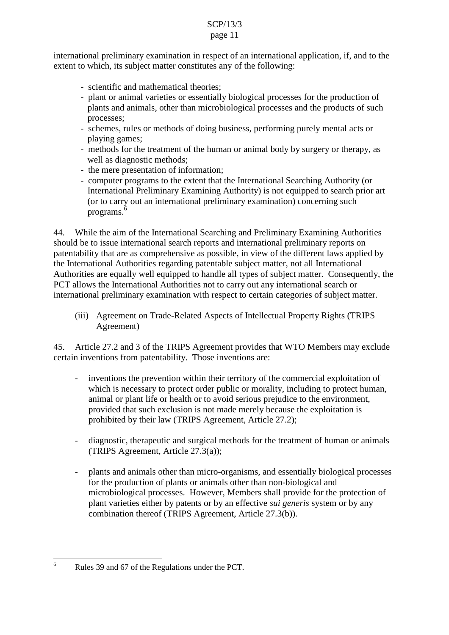# international preliminary examination in respect of an international application, if, and to the extent to which, its subject matter constitutes any of the following:

- scientific and mathematical theories;
- plant or animal varieties or essentially biological processes for the production of plants and animals, other than microbiological processes and the products of such processes;
- schemes, rules or methods of doing business, performing purely mental acts or playing games;
- methods for the treatment of the human or animal body by surgery or therapy, as well as diagnostic methods;
- the mere presentation of information;
- computer programs to the extent that the International Searching Authority (or International Preliminary Examining Authority) is not equipped to search prior art (or to carry out an international preliminary examination) concerning such programs.<sup>6</sup>

44. While the aim of the International Searching and Preliminary Examining Authorities should be to issue international search reports and international preliminary reports on patentability that are as comprehensive as possible, in view of the different laws applied by the International Authorities regarding patentable subject matter, not all International Authorities are equally well equipped to handle all types of subject matter. Consequently, the PCT allows the International Authorities not to carry out any international search or international preliminary examination with respect to certain categories of subject matter.

(iii) Agreement on Trade-Related Aspects of Intellectual Property Rights (TRIPS Agreement)

45. Article 27.2 and 3 of the TRIPS Agreement provides that WTO Members may exclude certain inventions from patentability. Those inventions are:

- inventions the prevention within their territory of the commercial exploitation of which is necessary to protect order public or morality, including to protect human, animal or plant life or health or to avoid serious prejudice to the environment, provided that such exclusion is not made merely because the exploitation is prohibited by their law (TRIPS Agreement, Article 27.2);
- diagnostic, therapeutic and surgical methods for the treatment of human or animals (TRIPS Agreement, Article 27.3(a));
- plants and animals other than micro-organisms, and essentially biological processes for the production of plants or animals other than non-biological and microbiological processes. However, Members shall provide for the protection of plant varieties either by patents or by an effective *sui generis* system or by any combination thereof (TRIPS Agreement, Article 27.3(b)).

<sup>6</sup> Rules 39 and 67 of the Regulations under the PCT.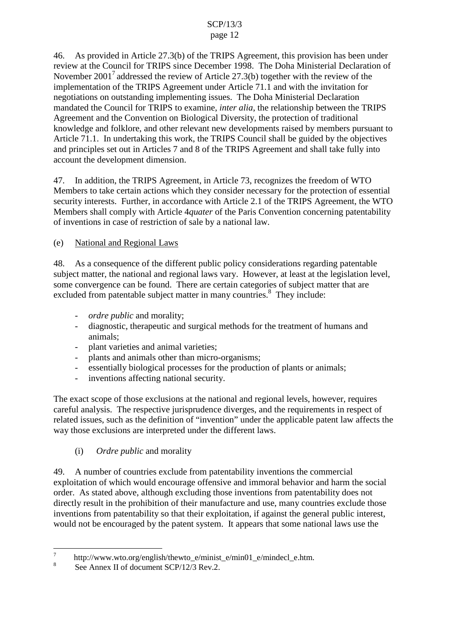46. As provided in Article 27.3(b) of the TRIPS Agreement, this provision has been under review at the Council for TRIPS since December 1998. The Doha Ministerial Declaration of November 2001<sup>7</sup> addressed the review of Article 27.3(b) together with the review of the implementation of the TRIPS Agreement under Article 71.1 and with the invitation for negotiations on outstanding implementing issues. The Doha Ministerial Declaration mandated the Council for TRIPS to examine, *inter alia*, the relationship between the TRIPS Agreement and the Convention on Biological Diversity, the protection of traditional knowledge and folklore, and other relevant new developments raised by members pursuant to Article 71.1. In undertaking this work, the TRIPS Council shall be guided by the objectives and principles set out in Articles 7 and 8 of the TRIPS Agreement and shall take fully into account the development dimension.

47. In addition, the TRIPS Agreement, in Article 73, recognizes the freedom of WTO Members to take certain actions which they consider necessary for the protection of essential security interests. Further, in accordance with Article 2.1 of the TRIPS Agreement, the WTO Members shall comply with Article 4*quater* of the Paris Convention concerning patentability of inventions in case of restriction of sale by a national law.

# (e) National and Regional Laws

48. As a consequence of the different public policy considerations regarding patentable subject matter, the national and regional laws vary. However, at least at the legislation level, some convergence can be found. There are certain categories of subject matter that are excluded from patentable subject matter in many countries.<sup>8</sup> They include:

- *ordre public* and morality;
- diagnostic, therapeutic and surgical methods for the treatment of humans and animals;
- plant varieties and animal varieties;
- plants and animals other than micro-organisms;
- essentially biological processes for the production of plants or animals;
- inventions affecting national security.

The exact scope of those exclusions at the national and regional levels, however, requires careful analysis. The respective jurisprudence diverges, and the requirements in respect of related issues, such as the definition of "invention" under the applicable patent law affects the way those exclusions are interpreted under the different laws.

(i) *Ordre public* and morality

49. A number of countries exclude from patentability inventions the commercial exploitation of which would encourage offensive and immoral behavior and harm the social order. As stated above, although excluding those inventions from patentability does not directly result in the prohibition of their manufacture and use, many countries exclude those inventions from patentability so that their exploitation, if against the general public interest, would not be encouraged by the patent system. It appears that some national laws use the

<sup>7</sup> http://www.wto.org/english/thewto\_e/minist\_e/min01\_e/mindecl\_e.htm.<br>8 See Annex II of document SCP/12/3 Rev.2.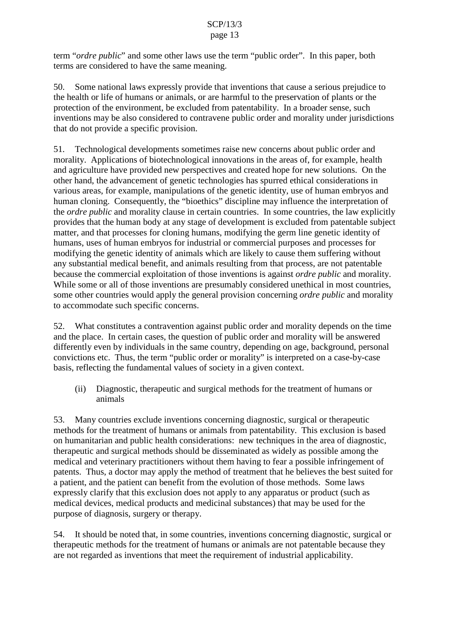term "*ordre public*" and some other laws use the term "public order". In this paper, both terms are considered to have the same meaning.

50. Some national laws expressly provide that inventions that cause a serious prejudice to the health or life of humans or animals, or are harmful to the preservation of plants or the protection of the environment, be excluded from patentability. In a broader sense, such inventions may be also considered to contravene public order and morality under jurisdictions that do not provide a specific provision.

51. Technological developments sometimes raise new concerns about public order and morality. Applications of biotechnological innovations in the areas of, for example, health and agriculture have provided new perspectives and created hope for new solutions. On the other hand, the advancement of genetic technologies has spurred ethical considerations in various areas, for example, manipulations of the genetic identity, use of human embryos and human cloning. Consequently, the "bioethics" discipline may influence the interpretation of the *ordre public* and morality clause in certain countries. In some countries, the law explicitly provides that the human body at any stage of development is excluded from patentable subject matter, and that processes for cloning humans, modifying the germ line genetic identity of humans, uses of human embryos for industrial or commercial purposes and processes for modifying the genetic identity of animals which are likely to cause them suffering without any substantial medical benefit, and animals resulting from that process, are not patentable because the commercial exploitation of those inventions is against *ordre public* and morality. While some or all of those inventions are presumably considered unethical in most countries, some other countries would apply the general provision concerning *ordre public* and morality to accommodate such specific concerns.

52. What constitutes a contravention against public order and morality depends on the time and the place. In certain cases, the question of public order and morality will be answered differently even by individuals in the same country, depending on age, background, personal convictions etc. Thus, the term "public order or morality" is interpreted on a case-by-case basis, reflecting the fundamental values of society in a given context.

(ii) Diagnostic, therapeutic and surgical methods for the treatment of humans or animals

53. Many countries exclude inventions concerning diagnostic, surgical or therapeutic methods for the treatment of humans or animals from patentability. This exclusion is based on humanitarian and public health considerations: new techniques in the area of diagnostic, therapeutic and surgical methods should be disseminated as widely as possible among the medical and veterinary practitioners without them having to fear a possible infringement of patents. Thus, a doctor may apply the method of treatment that he believes the best suited for a patient, and the patient can benefit from the evolution of those methods. Some laws expressly clarify that this exclusion does not apply to any apparatus or product (such as medical devices, medical products and medicinal substances) that may be used for the purpose of diagnosis, surgery or therapy.

54. It should be noted that, in some countries, inventions concerning diagnostic, surgical or therapeutic methods for the treatment of humans or animals are not patentable because they are not regarded as inventions that meet the requirement of industrial applicability.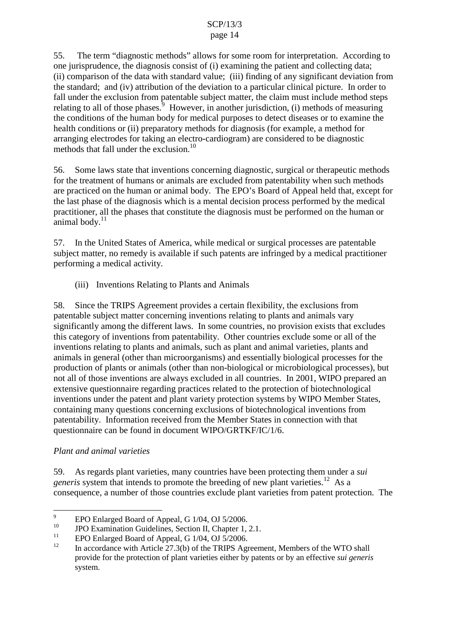55. The term "diagnostic methods" allows for some room for interpretation. According to one jurisprudence, the diagnosis consist of (i) examining the patient and collecting data; (ii) comparison of the data with standard value; (iii) finding of any significant deviation from the standard; and (iv) attribution of the deviation to a particular clinical picture. In order to fall under the exclusion from patentable subject matter, the claim must include method steps relating to all of those phases.  $\frac{3}{9}$  However, in another jurisdiction, (i) methods of measuring the conditions of the human body for medical purposes to detect diseases or to examine the health conditions or (ii) preparatory methods for diagnosis (for example, a method for arranging electrodes for taking an electro-cardiogram) are considered to be diagnostic methods that fall under the exclusion. 10

56. Some laws state that inventions concerning diagnostic, surgical or therapeutic methods for the treatment of humans or animals are excluded from patentability when such methods are practiced on the human or animal body. The EPO's Board of Appeal held that, except for the last phase of the diagnosis which is a mental decision process performed by the medical practitioner, all the phases that constitute the diagnosis must be performed on the human or animal body.<sup>11</sup>

57. In the United States of America, while medical or surgical processes are patentable subject matter, no remedy is available if such patents are infringed by a medical practitioner performing a medical activity.

(iii) Inventions Relating to Plants and Animals

58. Since the TRIPS Agreement provides a certain flexibility, the exclusions from patentable subject matter concerning inventions relating to plants and animals vary significantly among the different laws. In some countries, no provision exists that excludes this category of inventions from patentability. Other countries exclude some or all of the inventions relating to plants and animals, such as plant and animal varieties, plants and animals in general (other than microorganisms) and essentially biological processes for the production of plants or animals (other than non-biological or microbiological processes), but not all of those inventions are always excluded in all countries. In 2001, WIPO prepared an extensive questionnaire regarding practices related to the protection of biotechnological inventions under the patent and plant variety protection systems by WIPO Member States, containing many questions concerning exclusions of biotechnological inventions from patentability. Information received from the Member States in connection with that questionnaire can be found in document WIPO/GRTKF/IC/1/6.

#### *Plant and animal varieties*

59. As regards plant varieties, many countries have been protecting them under a *sui* generis system that intends to promote the breeding of new plant varieties.<sup>12</sup> As a consequence, a number of those countries exclude plant varieties from patent protection. The

<sup>&</sup>lt;sup>9</sup> EPO Enlarged Board of Appeal, G 1/04, OJ 5/2006.<br><sup>10</sup> JPO Examination Guidelines, Section II, Chapter 1, 2.1.<br><sup>11</sup> EPO Enlarged Board of Appeal, G 1/04, OJ 5/2006

<sup>&</sup>lt;sup>11</sup> EPO Enlarged Board of Appeal, G 1/04, OJ 5/2006.<br><sup>12</sup> In accordance with Article 27.3(b) of the TRIPS Agreement, Members of the WTO shall provide for the protection of plant varieties either by patents or by an effective *sui generis* system.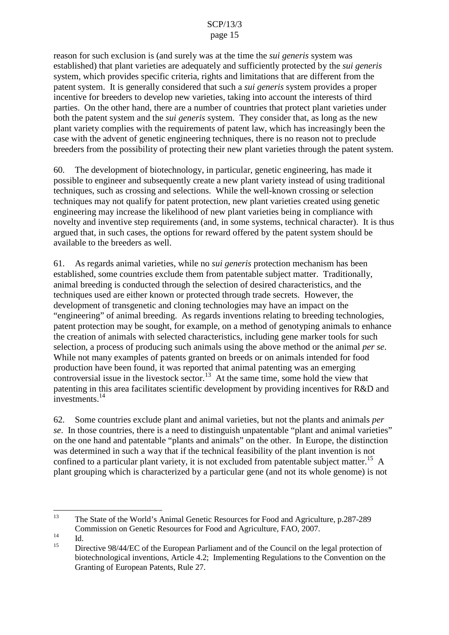## reason for such exclusion is (and surely was at the time the *sui generis* system was established) that plant varieties are adequately and sufficiently protected by the *sui generis* system, which provides specific criteria, rights and limitations that are different from the patent system. It is generally considered that such a *sui generis* system provides a proper incentive for breeders to develop new varieties, taking into account the interests of third parties. On the other hand, there are a number of countries that protect plant varieties under both the patent system and the *sui generis* system. They consider that, as long as the new plant variety complies with the requirements of patent law, which has increasingly been the case with the advent of genetic engineering techniques, there is no reason not to preclude breeders from the possibility of protecting their new plant varieties through the patent system.

60. The development of biotechnology, in particular, genetic engineering, has made it possible to engineer and subsequently create a new plant variety instead of using traditional techniques, such as crossing and selections. While the well-known crossing or selection techniques may not qualify for patent protection, new plant varieties created using genetic engineering may increase the likelihood of new plant varieties being in compliance with novelty and inventive step requirements (and, in some systems, technical character). It is thus argued that, in such cases, the options for reward offered by the patent system should be available to the breeders as well.

61. As regards animal varieties, while no *sui generis* protection mechanism has been established, some countries exclude them from patentable subject matter. Traditionally, animal breeding is conducted through the selection of desired characteristics, and the techniques used are either known or protected through trade secrets. However, the development of transgenetic and cloning technologies may have an impact on the "engineering" of animal breeding. As regards inventions relating to breeding technologies, patent protection may be sought, for example, on a method of genotyping animals to enhance the creation of animals with selected characteristics, including gene marker tools for such selection, a process of producing such animals using the above method or the animal *per se*. While not many examples of patents granted on breeds or on animals intended for food production have been found, it was reported that animal patenting was an emerging controversial issue in the livestock sector.<sup>13</sup> At the same time, some hold the view that patenting in this area facilitates scientific development by providing incentives for R&D and investments. 14

62. Some countries exclude plant and animal varieties, but not the plants and animals *per se*. In those countries, there is a need to distinguish unpatentable "plant and animal varieties" on the one hand and patentable "plants and animals" on the other. In Europe, the distinction was determined in such a way that if the technical feasibility of the plant invention is not confined to a particular plant variety, it is not excluded from patentable subject matter. <sup>15</sup> A plant grouping which is characterized by a particular gene (and not its whole genome) is not

<sup>13</sup> The State of the World's Animal Genetic Resources for Food and Agriculture, p.287-289 Commission on Genetic Resources for Food and Agriculture, FAO, 2007.<br>
14 Id. Directive 98/44/EC of the European Parliament and of the Council on the legal protection of

biotechnological inventions, Article 4.2; Implementing Regulations to the Convention on the Granting of European Patents, Rule 27.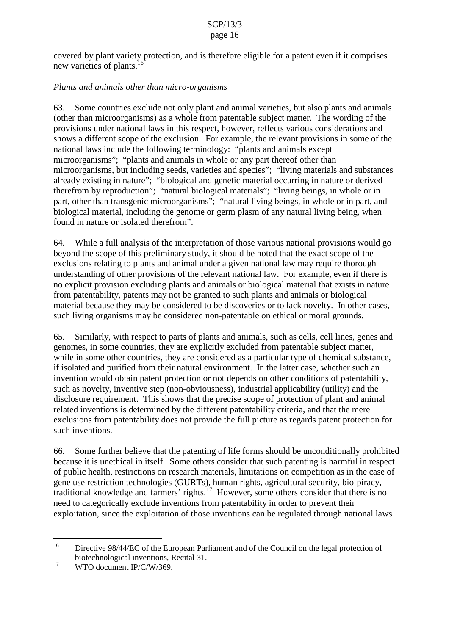covered by plant variety protection, and is therefore eligible for a patent even if it comprises new varieties of plants.<sup>16</sup>

# *Plants and animals other than micro-organisms*

63. Some countries exclude not only plant and animal varieties, but also plants and animals (other than microorganisms) as a whole from patentable subject matter. The wording of the provisions under national laws in this respect, however, reflects various considerations and shows a different scope of the exclusion. For example, the relevant provisions in some of the national laws include the following terminology: "plants and animals except microorganisms"; "plants and animals in whole or any part thereof other than microorganisms, but including seeds, varieties and species"; "living materials and substances already existing in nature"; "biological and genetic material occurring in nature or derived therefrom by reproduction"; "natural biological materials"; "living beings, in whole or in part, other than transgenic microorganisms"; "natural living beings, in whole or in part, and biological material, including the genome or germ plasm of any natural living being, when found in nature or isolated therefrom".

64. While a full analysis of the interpretation of those various national provisions would go beyond the scope of this preliminary study, it should be noted that the exact scope of the exclusions relating to plants and animal under a given national law may require thorough understanding of other provisions of the relevant national law. For example, even if there is no explicit provision excluding plants and animals or biological material that exists in nature from patentability, patents may not be granted to such plants and animals or biological material because they may be considered to be discoveries or to lack novelty. In other cases, such living organisms may be considered non-patentable on ethical or moral grounds.

65. Similarly, with respect to parts of plants and animals, such as cells, cell lines, genes and genomes, in some countries, they are explicitly excluded from patentable subject matter, while in some other countries, they are considered as a particular type of chemical substance, if isolated and purified from their natural environment. In the latter case, whether such an invention would obtain patent protection or not depends on other conditions of patentability, such as novelty, inventive step (non-obviousness), industrial applicability (utility) and the disclosure requirement. This shows that the precise scope of protection of plant and animal related inventions is determined by the different patentability criteria, and that the mere exclusions from patentability does not provide the full picture as regards patent protection for such inventions.

66. Some further believe that the patenting of life forms should be unconditionally prohibited because it is unethical in itself. Some others consider that such patenting is harmful in respect of public health, restrictions on research materials, limitations on competition as in the case of gene use restriction technologies (GURTs), human rights, agricultural security, bio-piracy, traditional knowledge and farmers' rights. <sup>17</sup> However, some others consider that there is no need to categorically exclude inventions from patentability in order to prevent their exploitation, since the exploitation of those inventions can be regulated through national laws

<sup>&</sup>lt;sup>16</sup> Directive 98/44/EC of the European Parliament and of the Council on the legal protection of biotechnological inventions, Recital 31.<br><sup>17</sup> WTO document IP/C/W/369.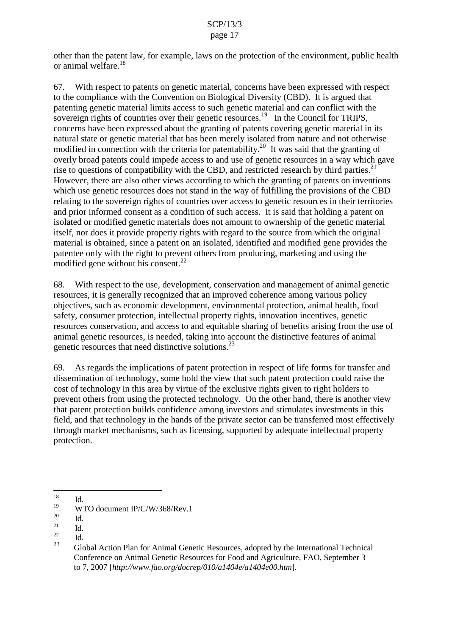other than the patent law, for example, laws on the protection of the environment, public health or animal welfare. 18

67. With respect to patents on genetic material, concerns have been expressed with respect to the compliance with the Convention on Biological Diversity (CBD). It is argued that patenting genetic material limits access to such genetic material and can conflict with the sovereign rights of countries over their genetic resources.<sup>19</sup> In the Council for TRIPS, concerns have been expressed about the granting of patents covering genetic material in its natural state or genetic material that has been merely isolated from nature and not otherwise modified in connection with the criteria for patentability.<sup>20</sup> It was said that the granting of overly broad patents could impede access to and use of genetic resources in a way which gave rise to questions of compatibility with the CBD, and restricted research by third parties.<sup>21</sup> However, there are also other views according to which the granting of patents on inventions which use genetic resources does not stand in the way of fulfilling the provisions of the CBD relating to the sovereign rights of countries over access to genetic resources in their territories and prior informed consent as a condition of such access. It is said that holding a patent on isolated or modified genetic materials does not amount to ownership of the genetic material itself, nor does it provide property rights with regard to the source from which the original material is obtained, since a patent on an isolated, identified and modified gene provides the patentee only with the right to prevent others from producing, marketing and using the modified gene without his consent.<sup>22</sup>

68. With respect to the use, development, conservation and management of animal genetic resources, it is generally recognized that an improved coherence among various policy objectives, such as economic development, environmental protection, animal health, food safety, consumer protection, intellectual property rights, innovation incentives, genetic resources conservation, and access to and equitable sharing of benefits arising from the use of animal genetic resources, is needed, taking into account the distinctive features of animal genetic resources that need distinctive solutions.<sup>23</sup>

69. As regards the implications of patent protection in respect of life forms for transfer and dissemination of technology, some hold the view that such patent protection could raise the cost of technology in this area by virtue of the exclusive rights given to right holders to prevent others from using the protected technology. On the other hand, there is another view that patent protection builds confidence among investors and stimulates investments in this field, and that technology in the hands of the private sector can be transferred most effectively through market mechanisms, such as licensing, supported by adequate intellectual property protection.

<sup>&</sup>lt;sup>18</sup> Id.<br><sup>19</sup> WTO document IP/C/W/368/Rev.1<br><sup>20</sup>

<sup>20</sup> Id.<br>
21 Id.<br>
22 Id.<br>
23 Global Action Plan for Animal Genetic Resources, adopted by the International Technical Conference on Animal Genetic Resources for Food and Agriculture, FAO, September 3 to 7, 2007 [*http://www.fao.org/docrep/010/a1404e/a1404e00.htm*].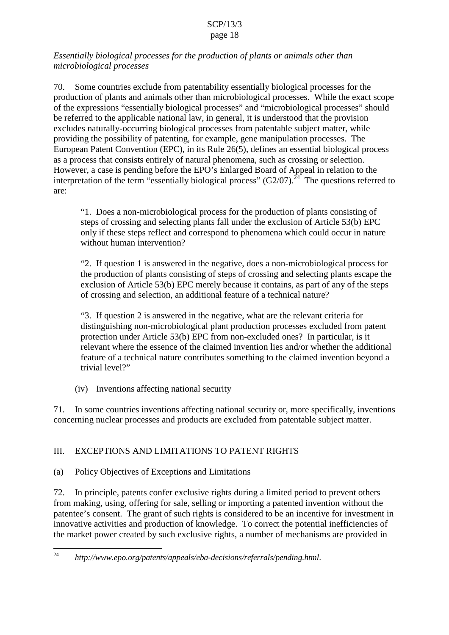## *Essentially biological processes for the production of plants or animals other than microbiological processes*

70. Some countries exclude from patentability essentially biological processes for the production of plants and animals other than microbiological processes. While the exact scope of the expressions "essentially biological processes" and "microbiological processes" should be referred to the applicable national law, in general, it is understood that the provision excludes naturally-occurring biological processes from patentable subject matter, while providing the possibility of patenting, for example, gene manipulation processes. The European Patent Convention (EPC), in its Rule 26(5), defines an essential biological process as a process that consists entirely of natural phenomena, such as crossing or selection. However, a case is pending before the EPO's Enlarged Board of Appeal in relation to the interpretation of the term "essentially biological process"  $(G2/07)$ .<sup>24</sup> The questions referred to are:

"1. Does a non-microbiological process for the production of plants consisting of steps of crossing and selecting plants fall under the exclusion of Article 53(b) EPC only if these steps reflect and correspond to phenomena which could occur in nature without human intervention?

"2. If question 1 is answered in the negative, does a non-microbiological process for the production of plants consisting of steps of crossing and selecting plants escape the exclusion of Article 53(b) EPC merely because it contains, as part of any of the steps of crossing and selection, an additional feature of a technical nature?

"3. If question 2 is answered in the negative, what are the relevant criteria for distinguishing non-microbiological plant production processes excluded from patent protection under Article 53(b) EPC from non-excluded ones? In particular, is it relevant where the essence of the claimed invention lies and/or whether the additional feature of a technical nature contributes something to the claimed invention beyond a trivial level?"

(iv) Inventions affecting national security

71. In some countries inventions affecting national security or, more specifically, inventions concerning nuclear processes and products are excluded from patentable subject matter.

# III. EXCEPTIONS AND LIMITATIONS TO PATENT RIGHTS

# (a) Policy Objectives of Exceptions and Limitations

72. In principle, patents confer exclusive rights during a limited period to prevent others from making, using, offering for sale, selling or importing a patented invention without the patentee's consent. The grant of such rights is considered to be an incentive for investment in innovative activities and production of knowledge. To correct the potential inefficiencies of the market power created by such exclusive rights, a number of mechanisms are provided in

<sup>24</sup> *http://www.epo.org/patents/appeals/eba-decisions/referrals/pending.html*.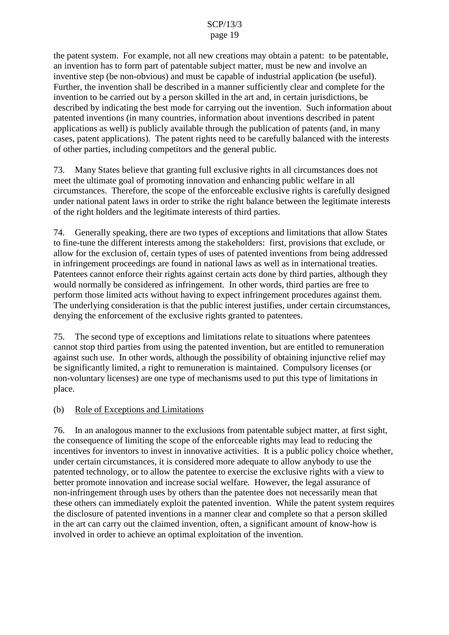## the patent system. For example, not all new creations may obtain a patent: to be patentable, an invention has to form part of patentable subject matter, must be new and involve an inventive step (be non-obvious) and must be capable of industrial application (be useful). Further, the invention shall be described in a manner sufficiently clear and complete for the invention to be carried out by a person skilled in the art and, in certain jurisdictions, be described by indicating the best mode for carrying out the invention. Such information about patented inventions (in many countries, information about inventions described in patent applications as well) is publicly available through the publication of patents (and, in many cases, patent applications). The patent rights need to be carefully balanced with the interests of other parties, including competitors and the general public.

73. Many States believe that granting full exclusive rights in all circumstances does not meet the ultimate goal of promoting innovation and enhancing public welfare in all circumstances. Therefore, the scope of the enforceable exclusive rights is carefully designed under national patent laws in order to strike the right balance between the legitimate interests of the right holders and the legitimate interests of third parties.

74. Generally speaking, there are two types of exceptions and limitations that allow States to fine-tune the different interests among the stakeholders: first, provisions that exclude, or allow for the exclusion of, certain types of uses of patented inventions from being addressed in infringement proceedings are found in national laws as well as in international treaties. Patentees cannot enforce their rights against certain acts done by third parties, although they would normally be considered as infringement. In other words, third parties are free to perform those limited acts without having to expect infringement procedures against them. The underlying consideration is that the public interest justifies, under certain circumstances, denying the enforcement of the exclusive rights granted to patentees.

75. The second type of exceptions and limitations relate to situations where patentees cannot stop third parties from using the patented invention, but are entitled to remuneration against such use. In other words, although the possibility of obtaining injunctive relief may be significantly limited, a right to remuneration is maintained. Compulsory licenses (or non-voluntary licenses) are one type of mechanisms used to put this type of limitations in place.

# (b) Role of Exceptions and Limitations

76. In an analogous manner to the exclusions from patentable subject matter, at first sight, the consequence of limiting the scope of the enforceable rights may lead to reducing the incentives for inventors to invest in innovative activities. It is a public policy choice whether, under certain circumstances, it is considered more adequate to allow anybody to use the patented technology, or to allow the patentee to exercise the exclusive rights with a view to better promote innovation and increase social welfare. However, the legal assurance of non-infringement through uses by others than the patentee does not necessarily mean that these others can immediately exploit the patented invention. While the patent system requires the disclosure of patented inventions in a manner clear and complete so that a person skilled in the art can carry out the claimed invention, often, a significant amount of know-how is involved in order to achieve an optimal exploitation of the invention.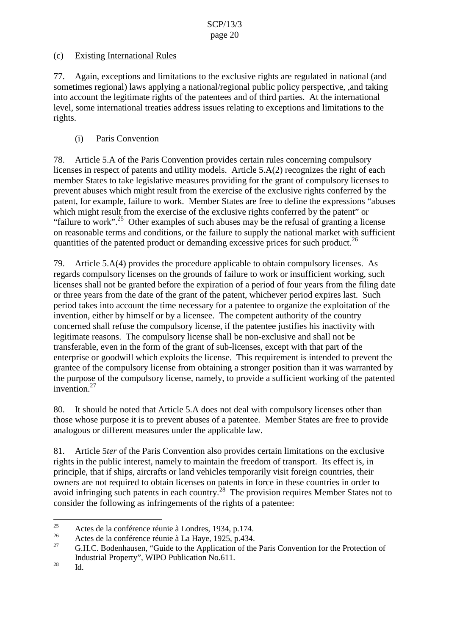# (c) Existing International Rules

77. Again, exceptions and limitations to the exclusive rights are regulated in national (and sometimes regional) laws applying a national/regional public policy perspective, ,and taking into account the legitimate rights of the patentees and of third parties. At the international level, some international treaties address issues relating to exceptions and limitations to the rights.

# (i) Paris Convention

78. Article 5.A of the Paris Convention provides certain rules concerning compulsory licenses in respect of patents and utility models. Article 5.A(2) recognizes the right of each member States to take legislative measures providing for the grant of compulsory licenses to prevent abuses which might result from the exercise of the exclusive rights conferred by the patent, for example, failure to work. Member States are free to define the expressions "abuses which might result from the exercise of the exclusive rights conferred by the patent" or "failure to work".<sup>25</sup> Other examples of such abuses may be the refusal of granting a license on reasonable terms and conditions, or the failure to supply the national market with sufficient quantities of the patented product or demanding excessive prices for such product.<sup>26</sup>

79. Article 5.A(4) provides the procedure applicable to obtain compulsory licenses. As regards compulsory licenses on the grounds of failure to work or insufficient working, such licenses shall not be granted before the expiration of a period of four years from the filing date or three years from the date of the grant of the patent, whichever period expires last. Such period takes into account the time necessary for a patentee to organize the exploitation of the invention, either by himself or by a licensee. The competent authority of the country concerned shall refuse the compulsory license, if the patentee justifies his inactivity with legitimate reasons. The compulsory license shall be non-exclusive and shall not be transferable, even in the form of the grant of sub-licenses, except with that part of the enterprise or goodwill which exploits the license. This requirement is intended to prevent the grantee of the compulsory license from obtaining a stronger position than it was warranted by the purpose of the compulsory license, namely, to provide a sufficient working of the patented invention. 27

80. It should be noted that Article 5.A does not deal with compulsory licenses other than those whose purpose it is to prevent abuses of a patentee. Member States are free to provide analogous or different measures under the applicable law.

81. Article 5*ter* of the Paris Convention also provides certain limitations on the exclusive rights in the public interest, namely to maintain the freedom of transport. Its effect is, in principle, that if ships, aircrafts or land vehicles temporarily visit foreign countries, their owners are not required to obtain licenses on patents in force in these countries in order to avoid infringing such patents in each country.<sup>28</sup> The provision requires Member States not to consider the following as infringements of the rights of a patentee:

<sup>25</sup> Actes de la conférence réunie à Londres, 1934, p.174.<br>
26 Actes de la conférence réunie à La Haye, 1925, p.434.<br>
27 G.H.C. Bodenhausen, "Guide to the Application of the Paris Convention for the Protection of Industrial Property", WIPO Publication No.611.<br>Id.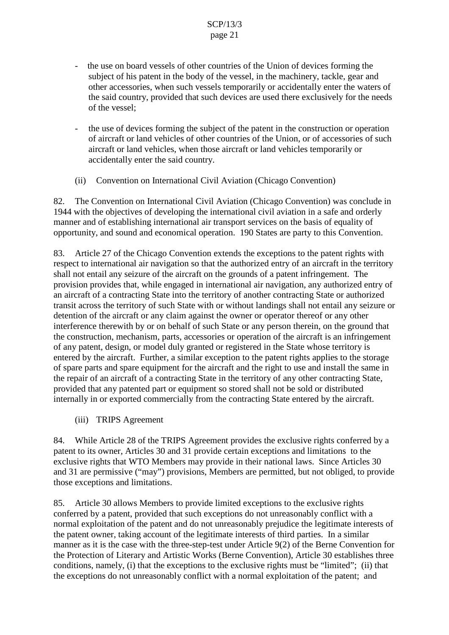- the use on board vessels of other countries of the Union of devices forming the subject of his patent in the body of the vessel, in the machinery, tackle, gear and other accessories, when such vessels temporarily or accidentally enter the waters of the said country, provided that such devices are used there exclusively for the needs of the vessel;
- the use of devices forming the subject of the patent in the construction or operation of aircraft or land vehicles of other countries of the Union, or of accessories of such aircraft or land vehicles, when those aircraft or land vehicles temporarily or accidentally enter the said country.
- (ii) Convention on International Civil Aviation (Chicago Convention)

82. The Convention on International Civil Aviation (Chicago Convention) was conclude in 1944 with the objectives of developing the international civil aviation in a safe and orderly manner and of establishing international air transport services on the basis of equality of opportunity, and sound and economical operation. 190 States are party to this Convention.

83. Article 27 of the Chicago Convention extends the exceptions to the patent rights with respect to international air navigation so that the authorized entry of an aircraft in the territory shall not entail any seizure of the aircraft on the grounds of a patent infringement. The provision provides that, while engaged in international air navigation, any authorized entry of an aircraft of a contracting State into the territory of another contracting State or authorized transit across the territory of such State with or without landings shall not entail any seizure or detention of the aircraft or any claim against the owner or operator thereof or any other interference therewith by or on behalf of such State or any person therein, on the ground that the construction, mechanism, parts, accessories or operation of the aircraft is an infringement of any patent, design, or model duly granted or registered in the State whose territory is entered by the aircraft. Further, a similar exception to the patent rights applies to the storage of spare parts and spare equipment for the aircraft and the right to use and install the same in the repair of an aircraft of a contracting State in the territory of any other contracting State, provided that any patented part or equipment so stored shall not be sold or distributed internally in or exported commercially from the contracting State entered by the aircraft.

(iii) TRIPS Agreement

84. While Article 28 of the TRIPS Agreement provides the exclusive rights conferred by a patent to its owner, Articles 30 and 31 provide certain exceptions and limitations to the exclusive rights that WTO Members may provide in their national laws. Since Articles 30 and 31 are permissive ("may") provisions, Members are permitted, but not obliged, to provide those exceptions and limitations.

85. Article 30 allows Members to provide limited exceptions to the exclusive rights conferred by a patent, provided that such exceptions do not unreasonably conflict with a normal exploitation of the patent and do not unreasonably prejudice the legitimate interests of the patent owner, taking account of the legitimate interests of third parties. In a similar manner as it is the case with the three-step-test under Article 9(2) of the Berne Convention for the Protection of Literary and Artistic Works (Berne Convention), Article 30 establishes three conditions, namely, (i) that the exceptions to the exclusive rights must be "limited"; (ii) that the exceptions do not unreasonably conflict with a normal exploitation of the patent; and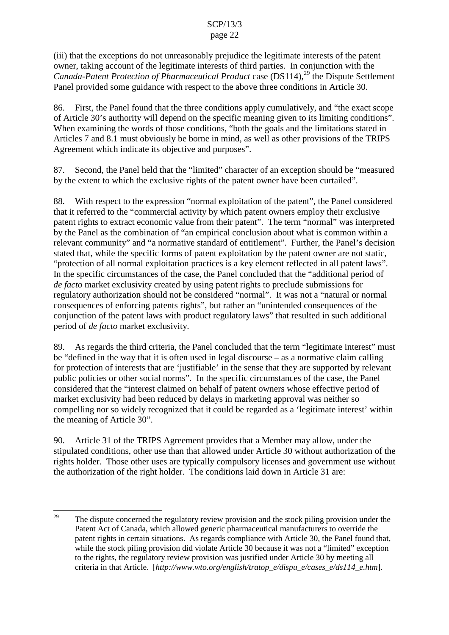(iii) that the exceptions do not unreasonably prejudice the legitimate interests of the patent owner, taking account of the legitimate interests of third parties. In conjunction with the *Canada-Patent Protection of Pharmaceutical Product* case (DS114), <sup>29</sup> the Dispute Settlement Panel provided some guidance with respect to the above three conditions in Article 30.

86. First, the Panel found that the three conditions apply cumulatively, and "the exact scope of Article 30's authority will depend on the specific meaning given to its limiting conditions". When examining the words of those conditions, "both the goals and the limitations stated in Articles 7 and 8.1 must obviously be borne in mind, as well as other provisions of the TRIPS Agreement which indicate its objective and purposes".

87. Second, the Panel held that the "limited" character of an exception should be "measured by the extent to which the exclusive rights of the patent owner have been curtailed".

88. With respect to the expression "normal exploitation of the patent", the Panel considered that it referred to the "commercial activity by which patent owners employ their exclusive patent rights to extract economic value from their patent". The term "normal" was interpreted by the Panel as the combination of "an empirical conclusion about what is common within a relevant community" and "a normative standard of entitlement". Further, the Panel's decision stated that, while the specific forms of patent exploitation by the patent owner are not static, "protection of all normal exploitation practices is a key element reflected in all patent laws". In the specific circumstances of the case, the Panel concluded that the "additional period of *de facto* market exclusivity created by using patent rights to preclude submissions for regulatory authorization should not be considered "normal". It was not a "natural or normal consequences of enforcing patents rights", but rather an "unintended consequences of the conjunction of the patent laws with product regulatory laws" that resulted in such additional period of *de facto* market exclusivity.

89. As regards the third criteria, the Panel concluded that the term "legitimate interest" must be "defined in the way that it is often used in legal discourse – as a normative claim calling for protection of interests that are 'justifiable' in the sense that they are supported by relevant public policies or other social norms". In the specific circumstances of the case, the Panel considered that the "interest claimed on behalf of patent owners whose effective period of market exclusivity had been reduced by delays in marketing approval was neither so compelling nor so widely recognized that it could be regarded as a 'legitimate interest' within the meaning of Article 30".

90. Article 31 of the TRIPS Agreement provides that a Member may allow, under the stipulated conditions, other use than that allowed under Article 30 without authorization of the rights holder. Those other uses are typically compulsory licenses and government use without the authorization of the right holder. The conditions laid down in Article 31 are:

<sup>&</sup>lt;sup>29</sup> The dispute concerned the regulatory review provision and the stock piling provision under the Patent Act of Canada, which allowed generic pharmaceutical manufacturers to override the patent rights in certain situations. As regards compliance with Article 30, the Panel found that, while the stock piling provision did violate Article 30 because it was not a "limited" exception to the rights, the regulatory review provision was justified under Article 30 by meeting all criteria in that Article. [*http://www.wto.org/english/tratop\_e/dispu\_e/cases\_e/ds114\_e.htm*].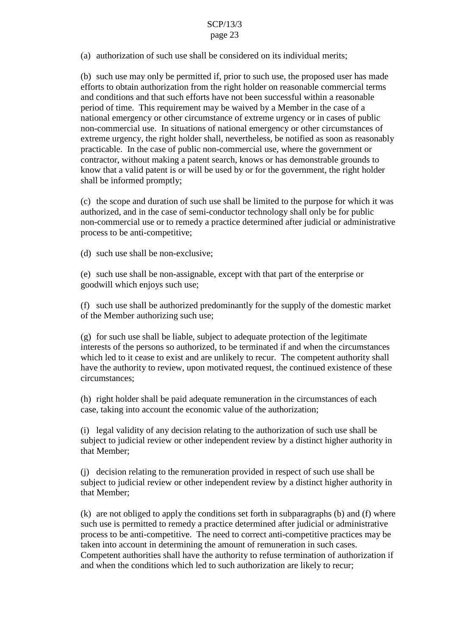(a) authorization of such use shall be considered on its individual merits;

(b) such use may only be permitted if, prior to such use, the proposed user has made efforts to obtain authorization from the right holder on reasonable commercial terms and conditions and that such efforts have not been successful within a reasonable period of time. This requirement may be waived by a Member in the case of a national emergency or other circumstance of extreme urgency or in cases of public non-commercial use. In situations of national emergency or other circumstances of extreme urgency, the right holder shall, nevertheless, be notified as soon as reasonably practicable. In the case of public non-commercial use, where the government or contractor, without making a patent search, knows or has demonstrable grounds to know that a valid patent is or will be used by or for the government, the right holder shall be informed promptly;

(c) the scope and duration of such use shall be limited to the purpose for which it was authorized, and in the case of semi-conductor technology shall only be for public non-commercial use or to remedy a practice determined after judicial or administrative process to be anti-competitive;

(d) such use shall be non-exclusive;

(e) such use shall be non-assignable, except with that part of the enterprise or goodwill which enjoys such use;

(f) such use shall be authorized predominantly for the supply of the domestic market of the Member authorizing such use;

(g) for such use shall be liable, subject to adequate protection of the legitimate interests of the persons so authorized, to be terminated if and when the circumstances which led to it cease to exist and are unlikely to recur. The competent authority shall have the authority to review, upon motivated request, the continued existence of these circumstances;

(h) right holder shall be paid adequate remuneration in the circumstances of each case, taking into account the economic value of the authorization;

(i) legal validity of any decision relating to the authorization of such use shall be subject to judicial review or other independent review by a distinct higher authority in that Member;

(j) decision relating to the remuneration provided in respect of such use shall be subject to judicial review or other independent review by a distinct higher authority in that Member;

(k) are not obliged to apply the conditions set forth in subparagraphs (b) and (f) where such use is permitted to remedy a practice determined after judicial or administrative process to be anti-competitive. The need to correct anti-competitive practices may be taken into account in determining the amount of remuneration in such cases. Competent authorities shall have the authority to refuse termination of authorization if and when the conditions which led to such authorization are likely to recur;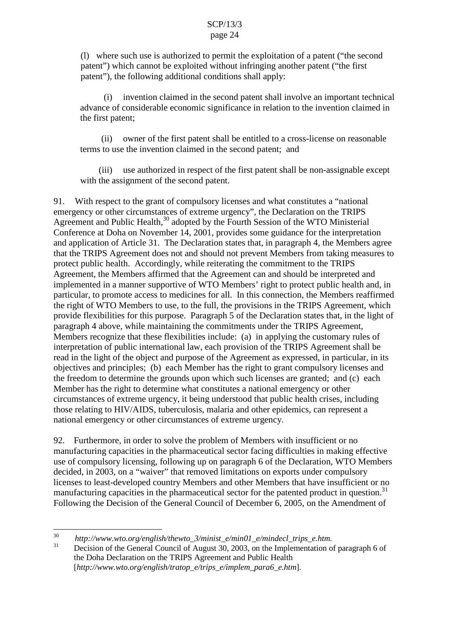(l) where such use is authorized to permit the exploitation of a patent ("the second patent") which cannot be exploited without infringing another patent ("the first patent"), the following additional conditions shall apply:

(i) invention claimed in the second patent shall involve an important technical advance of considerable economic significance in relation to the invention claimed in the first patent;

(ii) owner of the first patent shall be entitled to a cross-license on reasonable terms to use the invention claimed in the second patent; and

(iii) use authorized in respect of the first patent shall be non-assignable except with the assignment of the second patent.

91. With respect to the grant of compulsory licenses and what constitutes a "national emergency or other circumstances of extreme urgency", the Declaration on the TRIPS Agreement and Public Health,<sup>30</sup> adopted by the Fourth Session of the WTO Ministerial Conference at Doha on November 14, 2001, provides some guidance for the interpretation and application of Article 31. The Declaration states that, in paragraph 4, the Members agree that the TRIPS Agreement does not and should not prevent Members from taking measures to protect public health. Accordingly, while reiterating the commitment to the TRIPS Agreement, the Members affirmed that the Agreement can and should be interpreted and implemented in a manner supportive of WTO Members' right to protect public health and, in particular, to promote access to medicines for all. In this connection, the Members reaffirmed the right of WTO Members to use, to the full, the provisions in the TRIPS Agreement, which provide flexibilities for this purpose. Paragraph 5 of the Declaration states that, in the light of paragraph 4 above, while maintaining the commitments under the TRIPS Agreement, Members recognize that these flexibilities include: (a) in applying the customary rules of interpretation of public international law, each provision of the TRIPS Agreement shall be read in the light of the object and purpose of the Agreement as expressed, in particular, in its objectives and principles; (b) each Member has the right to grant compulsory licenses and the freedom to determine the grounds upon which such licenses are granted; and (c) each Member has the right to determine what constitutes a national emergency or other circumstances of extreme urgency, it being understood that public health crises, including those relating to HIV/AIDS, tuberculosis, malaria and other epidemics, can represent a national emergency or other circumstances of extreme urgency.

92. Furthermore, in order to solve the problem of Members with insufficient or no manufacturing capacities in the pharmaceutical sector facing difficulties in making effective use of compulsory licensing, following up on paragraph 6 of the Declaration, WTO Members decided, in 2003, on a "waiver" that removed limitations on exports under compulsory licenses to least-developed country Members and other Members that have insufficient or no manufacturing capacities in the pharmaceutical sector for the patented product in question.<sup>31</sup> Following the Decision of the General Council of December 6, 2005, on the Amendment of

the Doha Declaration on the TRIPS Agreement and Public Health [*http://www.wto.org/english/tratop\_e/trips\_e/implem\_para6\_e.htm*].

<sup>&</sup>lt;sup>30</sup> *http://www.wto.org/english/thewto\_3/minist\_e/min01\_e/mindecl\_trips\_e.htm.*<br><sup>31</sup> Decision of the General Council of August 30, 2003, on the Implementation of paragraph 6 of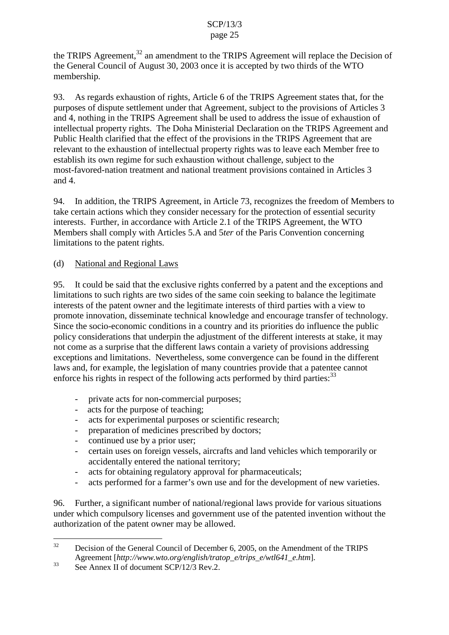the TRIPS Agreement,<sup>32</sup> an amendment to the TRIPS Agreement will replace the Decision of the General Council of August 30, 2003 once it is accepted by two thirds of the WTO membership.

93. As regards exhaustion of rights, Article 6 of the TRIPS Agreement states that, for the purposes of dispute settlement under that Agreement, subject to the provisions of Articles 3 and 4, nothing in the TRIPS Agreement shall be used to address the issue of exhaustion of intellectual property rights. The Doha Ministerial Declaration on the TRIPS Agreement and Public Health clarified that the effect of the provisions in the TRIPS Agreement that are relevant to the exhaustion of intellectual property rights was to leave each Member free to establish its own regime for such exhaustion without challenge, subject to the most-favored-nation treatment and national treatment provisions contained in Articles 3 and 4.

94. In addition, the TRIPS Agreement, in Article 73, recognizes the freedom of Members to take certain actions which they consider necessary for the protection of essential security interests. Further, in accordance with Article 2.1 of the TRIPS Agreement, the WTO Members shall comply with Articles 5.A and 5*ter* of the Paris Convention concerning limitations to the patent rights.

# (d) National and Regional Laws

95. It could be said that the exclusive rights conferred by a patent and the exceptions and limitations to such rights are two sides of the same coin seeking to balance the legitimate interests of the patent owner and the legitimate interests of third parties with a view to promote innovation, disseminate technical knowledge and encourage transfer of technology. Since the socio-economic conditions in a country and its priorities do influence the public policy considerations that underpin the adjustment of the different interests at stake, it may not come as a surprise that the different laws contain a variety of provisions addressing exceptions and limitations. Nevertheless, some convergence can be found in the different laws and, for example, the legislation of many countries provide that a patentee cannot enforce his rights in respect of the following acts performed by third parties:<sup>33</sup>

- private acts for non-commercial purposes;
- acts for the purpose of teaching;
- acts for experimental purposes or scientific research;
- preparation of medicines prescribed by doctors;
- continued use by a prior user;
- certain uses on foreign vessels, aircrafts and land vehicles which temporarily or accidentally entered the national territory;
- acts for obtaining regulatory approval for pharmaceuticals;
- acts performed for a farmer's own use and for the development of new varieties.

96. Further, a significant number of national/regional laws provide for various situations under which compulsory licenses and government use of the patented invention without the authorization of the patent owner may be allowed.

<sup>&</sup>lt;sup>32</sup> Decision of the General Council of December 6, 2005, on the Amendment of the TRIPS Agreement [*http://www.wto.org/english/tratop\_e/trips\_e/wtl641\_e.htm*].

 $33$  See Annex II of document SCP/12/3 Rev.2.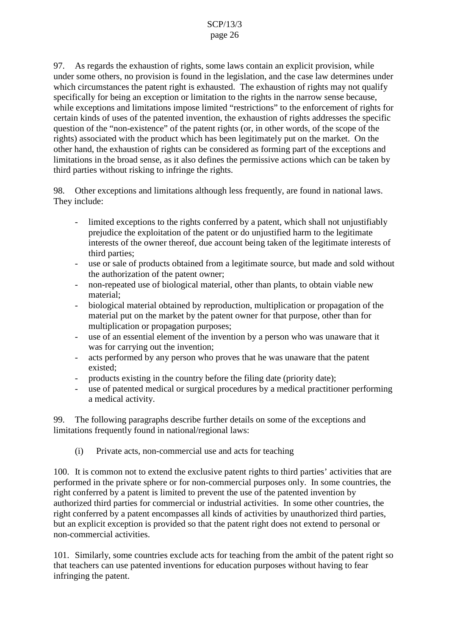97. As regards the exhaustion of rights, some laws contain an explicit provision, while under some others, no provision is found in the legislation, and the case law determines under which circumstances the patent right is exhausted. The exhaustion of rights may not qualify specifically for being an exception or limitation to the rights in the narrow sense because, while exceptions and limitations impose limited "restrictions" to the enforcement of rights for certain kinds of uses of the patented invention, the exhaustion of rights addresses the specific question of the "non-existence" of the patent rights (or, in other words, of the scope of the rights) associated with the product which has been legitimately put on the market. On the other hand, the exhaustion of rights can be considered as forming part of the exceptions and limitations in the broad sense, as it also defines the permissive actions which can be taken by third parties without risking to infringe the rights.

98. Other exceptions and limitations although less frequently, are found in national laws. They include:

- limited exceptions to the rights conferred by a patent, which shall not unjustifiably prejudice the exploitation of the patent or do unjustified harm to the legitimate interests of the owner thereof, due account being taken of the legitimate interests of third parties;
- use or sale of products obtained from a legitimate source, but made and sold without the authorization of the patent owner;
- non-repeated use of biological material, other than plants, to obtain viable new material;
- biological material obtained by reproduction, multiplication or propagation of the material put on the market by the patent owner for that purpose, other than for multiplication or propagation purposes;
- use of an essential element of the invention by a person who was unaware that it was for carrying out the invention;
- acts performed by any person who proves that he was unaware that the patent existed;
- products existing in the country before the filing date (priority date);
- use of patented medical or surgical procedures by a medical practitioner performing a medical activity.

99. The following paragraphs describe further details on some of the exceptions and limitations frequently found in national/regional laws:

(i) Private acts, non-commercial use and acts for teaching

100. It is common not to extend the exclusive patent rights to third parties' activities that are performed in the private sphere or for non-commercial purposes only. In some countries, the right conferred by a patent is limited to prevent the use of the patented invention by authorized third parties for commercial or industrial activities. In some other countries, the right conferred by a patent encompasses all kinds of activities by unauthorized third parties, but an explicit exception is provided so that the patent right does not extend to personal or non-commercial activities.

101. Similarly, some countries exclude acts for teaching from the ambit of the patent right so that teachers can use patented inventions for education purposes without having to fear infringing the patent.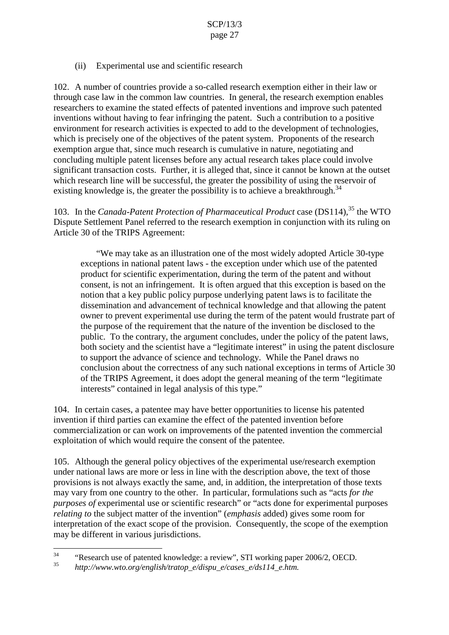(ii) Experimental use and scientific research

102. A number of countries provide a so-called research exemption either in their law or through case law in the common law countries. In general, the research exemption enables researchers to examine the stated effects of patented inventions and improve such patented inventions without having to fear infringing the patent. Such a contribution to a positive environment for research activities is expected to add to the development of technologies, which is precisely one of the objectives of the patent system. Proponents of the research exemption argue that, since much research is cumulative in nature, negotiating and concluding multiple patent licenses before any actual research takes place could involve significant transaction costs. Further, it is alleged that, since it cannot be known at the outset which research line will be successful, the greater the possibility of using the reservoir of existing knowledge is, the greater the possibility is to achieve a breakthrough.<sup>34</sup>

103. In the *Canada-Patent Protection of Pharmaceutical Product* case (DS114), <sup>35</sup> the WTO Dispute Settlement Panel referred to the research exemption in conjunction with its ruling on Article 30 of the TRIPS Agreement:

"We may take as an illustration one of the most widely adopted Article 30-type exceptions in national patent laws - the exception under which use of the patented product for scientific experimentation, during the term of the patent and without consent, is not an infringement. It is often argued that this exception is based on the notion that a key public policy purpose underlying patent laws is to facilitate the dissemination and advancement of technical knowledge and that allowing the patent owner to prevent experimental use during the term of the patent would frustrate part of the purpose of the requirement that the nature of the invention be disclosed to the public. To the contrary, the argument concludes, under the policy of the patent laws, both society and the scientist have a "legitimate interest" in using the patent disclosure to support the advance of science and technology. While the Panel draws no conclusion about the correctness of any such national exceptions in terms of Article 30 of the TRIPS Agreement, it does adopt the general meaning of the term "legitimate interests" contained in legal analysis of this type."

104. In certain cases, a patentee may have better opportunities to license his patented invention if third parties can examine the effect of the patented invention before commercialization or can work on improvements of the patented invention the commercial exploitation of which would require the consent of the patentee.

105. Although the general policy objectives of the experimental use/research exemption under national laws are more or less in line with the description above, the text of those provisions is not always exactly the same, and, in addition, the interpretation of those texts may vary from one country to the other. In particular, formulations such as "acts *for the purposes of* experimental use or scientific research" or "acts done for experimental purposes *relating to* the subject matter of the invention" (*emphasis* added) gives some room for interpretation of the exact scope of the provision. Consequently, the scope of the exemption may be different in various jurisdictions.

<sup>34</sup> "Research use of patented knowledge: <sup>a</sup> review", STI working paper 2006/2, OECD. <sup>35</sup> *http://www.wto.org/english/tratop\_e/dispu\_e/cases\_e/ds114\_e.htm.*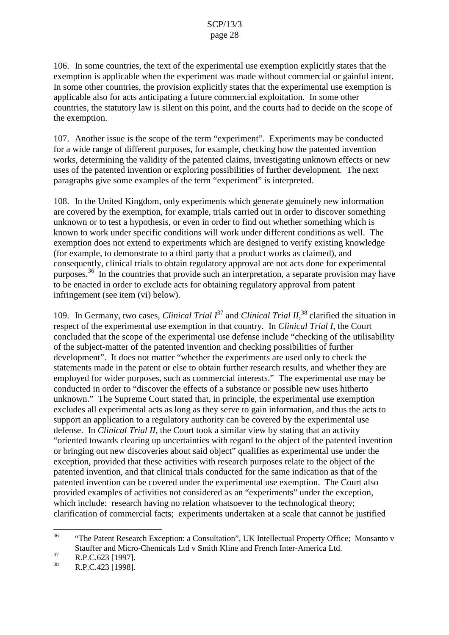106. In some countries, the text of the experimental use exemption explicitly states that the exemption is applicable when the experiment was made without commercial or gainful intent. In some other countries, the provision explicitly states that the experimental use exemption is applicable also for acts anticipating a future commercial exploitation. In some other countries, the statutory law is silent on this point, and the courts had to decide on the scope of the exemption.

107. Another issue is the scope of the term "experiment". Experiments may be conducted for a wide range of different purposes, for example, checking how the patented invention works, determining the validity of the patented claims, investigating unknown effects or new uses of the patented invention or exploring possibilities of further development. The next paragraphs give some examples of the term "experiment" is interpreted.

108. In the United Kingdom, only experiments which generate genuinely new information are covered by the exemption, for example, trials carried out in order to discover something unknown or to test a hypothesis, or even in order to find out whether something which is known to work under specific conditions will work under different conditions as well. The exemption does not extend to experiments which are designed to verify existing knowledge (for example, to demonstrate to a third party that a product works as claimed), and consequently, clinical trials to obtain regulatory approval are not acts done for experimental purposes.<sup>36</sup> In the countries that provide such an interpretation, a separate provision may have to be enacted in order to exclude acts for obtaining regulatory approval from patent infringement (see item (vi) below).

109. In Germany, two cases, *Clinical Trial*  $I^{37}$  and *Clinical Trial*  $II^{38}$  clarified the situation in respect of the experimental use exemption in that country. In *Clinical Trial I*, the Court concluded that the scope of the experimental use defense include "checking of the utilisability of the subject-matter of the patented invention and checking possibilities of further development". It does not matter "whether the experiments are used only to check the statements made in the patent or else to obtain further research results, and whether they are employed for wider purposes, such as commercial interests." The experimental use may be conducted in order to "discover the effects of a substance or possible new uses hitherto unknown." The Supreme Court stated that, in principle, the experimental use exemption excludes all experimental acts as long as they serve to gain information, and thus the acts to support an application to a regulatory authority can be covered by the experimental use defense. In *Clinical Trial II*, the Court took a similar view by stating that an activity "oriented towards clearing up uncertainties with regard to the object of the patented invention or bringing out new discoveries about said object" qualifies as experimental use under the exception, provided that these activities with research purposes relate to the object of the patented invention, and that clinical trials conducted for the same indication as that of the patented invention can be covered under the experimental use exemption. The Court also provided examples of activities not considered as an "experiments" under the exception, which include: research having no relation whatsoever to the technological theory; clarification of commercial facts; experiments undertaken at a scale that cannot be justified

<sup>&</sup>lt;sup>36</sup> "The Patent Research Exception: a Consultation", UK Intellectual Property Office; Monsanto v Stauffer and Micro-Chemicals Ltd v Smith Kline and French Inter-America Ltd.<br>
37 R.P.C.623 [1997].<br>
38 R.P.C.423 [1998].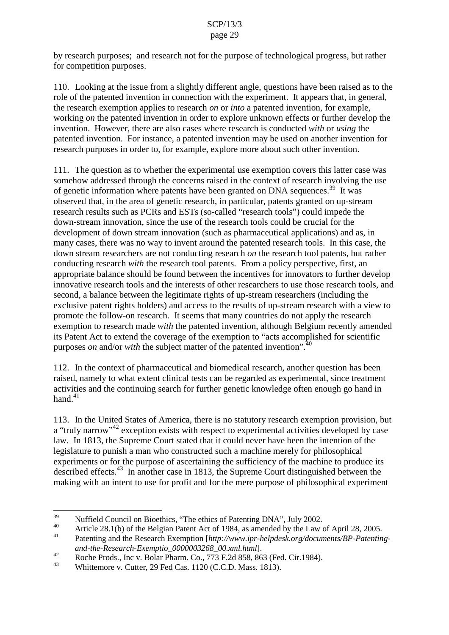by research purposes; and research not for the purpose of technological progress, but rather for competition purposes.

110. Looking at the issue from a slightly different angle, questions have been raised as to the role of the patented invention in connection with the experiment. It appears that, in general, the research exemption applies to research *on* or *into* a patented invention, for example, working *on* the patented invention in order to explore unknown effects or further develop the invention. However, there are also cases where research is conducted *with* or *using* the patented invention. For instance, a patented invention may be used on another invention for research purposes in order to, for example, explore more about such other invention.

111. The question as to whether the experimental use exemption covers this latter case was somehow addressed through the concerns raised in the context of research involving the use of genetic information where patents have been granted on DNA sequences.<sup>39</sup> It was observed that, in the area of genetic research, in particular, patents granted on up-stream research results such as PCRs and ESTs (so-called "research tools") could impede the down-stream innovation, since the use of the research tools could be crucial for the development of down stream innovation (such as pharmaceutical applications) and as, in many cases, there was no way to invent around the patented research tools. In this case, the down stream researchers are not conducting research *on* the research tool patents, but rather conducting research *with* the research tool patents. From a policy perspective, first, an appropriate balance should be found between the incentives for innovators to further develop innovative research tools and the interests of other researchers to use those research tools, and second, a balance between the legitimate rights of up-stream researchers (including the exclusive patent rights holders) and access to the results of up-stream research with a view to promote the follow-on research. It seems that many countries do not apply the research exemption to research made *with* the patented invention, although Belgium recently amended its Patent Act to extend the coverage of the exemption to "acts accomplished for scientific purposes *on* and/or *with* the subject matter of the patented invention".<sup>40</sup>

112. In the context of pharmaceutical and biomedical research, another question has been raised, namely to what extent clinical tests can be regarded as experimental, since treatment activities and the continuing search for further genetic knowledge often enough go hand in hand. $^{41}$ 

113. In the United States of America, there is no statutory research exemption provision, but a "truly narrow"<sup>42</sup> exception exists with respect to experimental activities developed by case law. In 1813, the Supreme Court stated that it could never have been the intention of the legislature to punish a man who constructed such a machine merely for philosophical experiments or for the purpose of ascertaining the sufficiency of the machine to produce its described effects. <sup>43</sup> In another case in 1813, the Supreme Court distinguished between the making with an intent to use for profit and for the mere purpose of philosophical experiment

<sup>&</sup>lt;sup>39</sup><br>Nuffield Council on Bioethics, "The ethics of Patenting DNA", July 2002.<br>Article 28.1(b) of the Belgian Patent Act of 1984, as amended by the Law of April 28, 2005.<br>Patenting and the Research Exemption [*http://www.i* 

*and-the-Research-Exemptio\_0000003268\_00.xml.html*].

<sup>&</sup>lt;sup>42</sup> Roche Prods., Inc v. Bolar Pharm. Co., 773 F.2d 858, 863 (Fed. Cir.1984).<br><sup>43</sup> Whittemore v. Cutter, 29 Fed Cas. 1120 (C.C.D. Mass. 1813).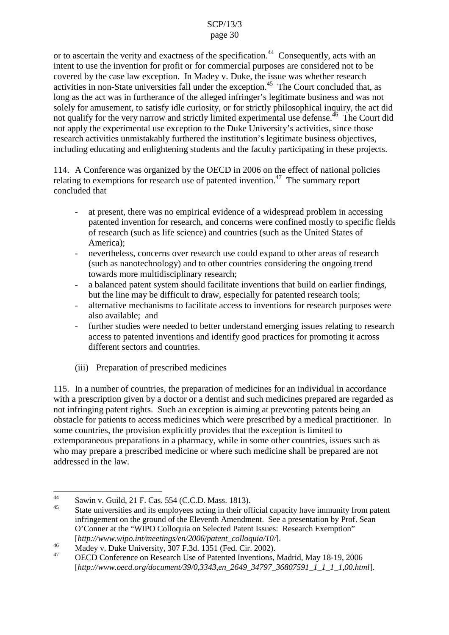or to ascertain the verity and exactness of the specification.<sup>44</sup> Consequently, acts with an intent to use the invention for profit or for commercial purposes are considered not to be covered by the case law exception. In Madey v. Duke, the issue was whether research activities in non-State universities fall under the exception.<sup>45</sup> The Court concluded that, as long as the act was in furtherance of the alleged infringer's legitimate business and was not solely for amusement, to satisfy idle curiosity, or for strictly philosophical inquiry, the act did not qualify for the very narrow and strictly limited experimental use defense.<sup>46</sup> The Court did not apply the experimental use exception to the Duke University's activities, since those research activities unmistakably furthered the institution's legitimate business objectives, including educating and enlightening students and the faculty participating in these projects.

114. A Conference was organized by the OECD in 2006 on the effect of national policies relating to exemptions for research use of patented invention.<sup>47</sup> The summary report concluded that

- at present, there was no empirical evidence of a widespread problem in accessing patented invention for research, and concerns were confined mostly to specific fields of research (such as life science) and countries (such as the United States of America);
- nevertheless, concerns over research use could expand to other areas of research (such as nanotechnology) and to other countries considering the ongoing trend towards more multidisciplinary research;
- a balanced patent system should facilitate inventions that build on earlier findings, but the line may be difficult to draw, especially for patented research tools;
- alternative mechanisms to facilitate access to inventions for research purposes were also available; and
- further studies were needed to better understand emerging issues relating to research access to patented inventions and identify good practices for promoting it across different sectors and countries.
- (iii) Preparation of prescribed medicines

115. In a number of countries, the preparation of medicines for an individual in accordance with a prescription given by a doctor or a dentist and such medicines prepared are regarded as not infringing patent rights. Such an exception is aiming at preventing patents being an obstacle for patients to access medicines which were prescribed by a medical practitioner. In some countries, the provision explicitly provides that the exception is limited to extemporaneous preparations in a pharmacy, while in some other countries, issues such as who may prepare a prescribed medicine or where such medicine shall be prepared are not addressed in the law.

<sup>44</sup> Sawin v. Guild, 21 F. Cas. 554 (C.C.D. Mass. 1813).<br> $\frac{45}{15}$  State universities and its employees acting in their official capacity have immunity from patent infringement on the ground of the Eleventh Amendment. See a presentation by Prof. Sean O'Conner at the "WIPO Colloquia on Selected Patent Issues: Research Exemption"

<sup>[</sup>*http://www.wipo.int/meetings/en/2006/patent\_colloquia/10/*]. <sup>46</sup> Madey v. Duke University, <sup>307</sup> F.3d. <sup>1351</sup> (Fed. Cir. 2002). <sup>47</sup> OECD Conference on Research Use of Patented Inventions, Madrid, May 18-19, <sup>2006</sup> [*http://www.oecd.org/document/39/0,3343,en\_2649\_34797\_36807591\_1\_1\_1\_1,00.html*].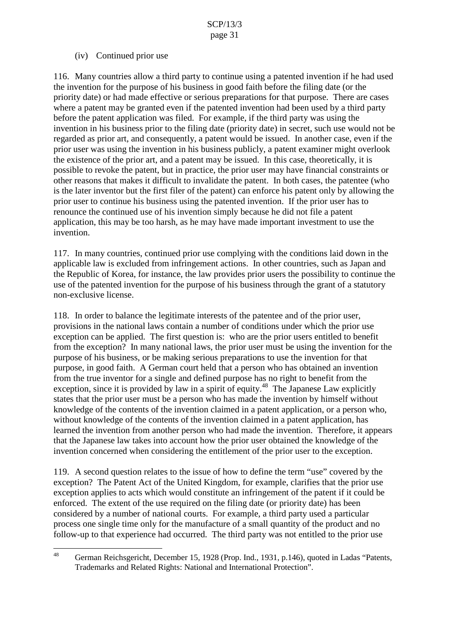### page 31

# (iv) Continued prior use

116. Many countries allow a third party to continue using a patented invention if he had used the invention for the purpose of his business in good faith before the filing date (or the priority date) or had made effective or serious preparations for that purpose. There are cases where a patent may be granted even if the patented invention had been used by a third party before the patent application was filed. For example, if the third party was using the invention in his business prior to the filing date (priority date) in secret, such use would not be regarded as prior art, and consequently, a patent would be issued. In another case, even if the prior user was using the invention in his business publicly, a patent examiner might overlook the existence of the prior art, and a patent may be issued. In this case, theoretically, it is possible to revoke the patent, but in practice, the prior user may have financial constraints or other reasons that makes it difficult to invalidate the patent. In both cases, the patentee (who is the later inventor but the first filer of the patent) can enforce his patent only by allowing the prior user to continue his business using the patented invention. If the prior user has to renounce the continued use of his invention simply because he did not file a patent application, this may be too harsh, as he may have made important investment to use the invention.

117. In many countries, continued prior use complying with the conditions laid down in the applicable law is excluded from infringement actions. In other countries, such as Japan and the Republic of Korea, for instance, the law provides prior users the possibility to continue the use of the patented invention for the purpose of his business through the grant of a statutory non-exclusive license.

118. In order to balance the legitimate interests of the patentee and of the prior user, provisions in the national laws contain a number of conditions under which the prior use exception can be applied. The first question is: who are the prior users entitled to benefit from the exception? In many national laws, the prior user must be using the invention for the purpose of his business, or be making serious preparations to use the invention for that purpose, in good faith. A German court held that a person who has obtained an invention from the true inventor for a single and defined purpose has no right to benefit from the exception, since it is provided by law in a spirit of equity.<sup>48</sup> The Japanese Law explicitly states that the prior user must be a person who has made the invention by himself without knowledge of the contents of the invention claimed in a patent application, or a person who, without knowledge of the contents of the invention claimed in a patent application, has learned the invention from another person who had made the invention. Therefore, it appears that the Japanese law takes into account how the prior user obtained the knowledge of the invention concerned when considering the entitlement of the prior user to the exception.

119. A second question relates to the issue of how to define the term "use" covered by the exception? The Patent Act of the United Kingdom, for example, clarifies that the prior use exception applies to acts which would constitute an infringement of the patent if it could be enforced. The extent of the use required on the filing date (or priority date) has been considered by a number of national courts. For example, a third party used a particular process one single time only for the manufacture of a small quantity of the product and no follow-up to that experience had occurred. The third party was not entitled to the prior use

<sup>48</sup> German Reichsgericht, December 15, 1928 (Prop. Ind., 1931, p.146), quoted in Ladas "Patents, Trademarks and Related Rights: National and International Protection".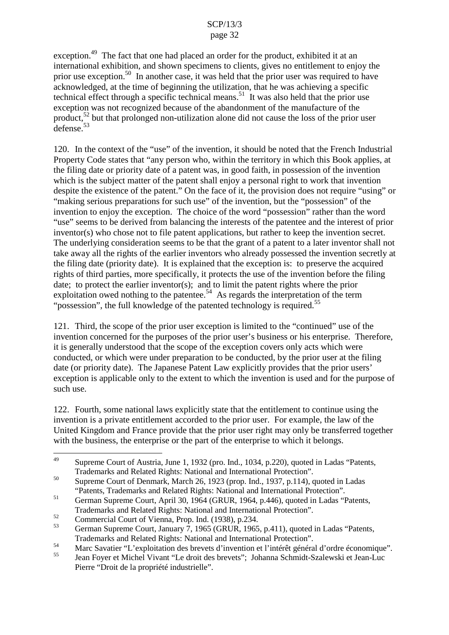# exception.<sup>49</sup> The fact that one had placed an order for the product, exhibited it at an international exhibition, and shown specimens to clients, gives no entitlement to enjoy the prior use exception.<sup>50</sup> In another case, it was held that the prior user was required to have acknowledged, at the time of beginning the utilization, that he was achieving a specific technical effect through a specific technical means. <sup>51</sup> It was also held that the prior use exception was not recognized because of the abandonment of the manufacture of the product,<sup>52</sup> but that prolonged non-utilization alone did not cause the loss of the prior user defense.<sup>53</sup>

120. In the context of the "use" of the invention, it should be noted that the French Industrial Property Code states that "any person who, within the territory in which this Book applies, at the filing date or priority date of a patent was, in good faith, in possession of the invention which is the subject matter of the patent shall enjoy a personal right to work that invention despite the existence of the patent." On the face of it, the provision does not require "using" or "making serious preparations for such use" of the invention, but the "possession" of the invention to enjoy the exception. The choice of the word "possession" rather than the word "use" seems to be derived from balancing the interests of the patentee and the interest of prior inventor(s) who chose not to file patent applications, but rather to keep the invention secret. The underlying consideration seems to be that the grant of a patent to a later inventor shall not take away all the rights of the earlier inventors who already possessed the invention secretly at the filing date (priority date). It is explained that the exception is: to preserve the acquired rights of third parties, more specifically, it protects the use of the invention before the filing date; to protect the earlier inventor(s); and to limit the patent rights where the prior exploitation owed nothing to the patentee.<sup>54</sup> As regards the interpretation of the term "possession", the full knowledge of the patented technology is required.<sup>55</sup>

121. Third, the scope of the prior user exception is limited to the "continued" use of the invention concerned for the purposes of the prior user's business or his enterprise. Therefore, it is generally understood that the scope of the exception covers only acts which were conducted, or which were under preparation to be conducted, by the prior user at the filing date (or priority date). The Japanese Patent Law explicitly provides that the prior users' exception is applicable only to the extent to which the invention is used and for the purpose of such use.

122. Fourth, some national laws explicitly state that the entitlement to continue using the invention is a private entitlement accorded to the prior user. For example, the law of the United Kingdom and France provide that the prior user right may only be transferred together with the business, the enterprise or the part of the enterprise to which it belongs.

<sup>&</sup>lt;sup>49</sup> Supreme Court of Austria, June 1, 1932 (pro. Ind., 1034, p.220), quoted in Ladas "Patents,

Trademarks and Related Rights: National and International Protection".<br>
Supreme Court of Denmark, March 26, 1923 (prop. Ind., 1937, p.114), quoted in Ladas<br>
"Patents, Trademarks and Related Rights: National and Internation

<sup>&</sup>lt;sup>51</sup> German Supreme Court, April 30, 1964 (GRUR, 1964, p.446), quoted in Ladas "Patents,

Trademarks and Related Rights: National and International Protection".<br>
52 Commercial Court of Vienna, Prop. Ind. (1938), p.234.<br>
53 German Supreme Court, January 7, 1965 (GRUR, 1965, p.411), quoted in Ladas "Patents,

Trademarks and Related Rights: National and International Protection". <sup>54</sup> Marc Savatier "L'exploitation des brevets d'invention et l'intérêt général d'ordre économique".

<sup>55</sup> Jean Foyer et Michel Vivant "Le droit des brevets"; Johanna Schmidt-Szalewski et Jean-Luc Pierre "Droit de la propriété industrielle".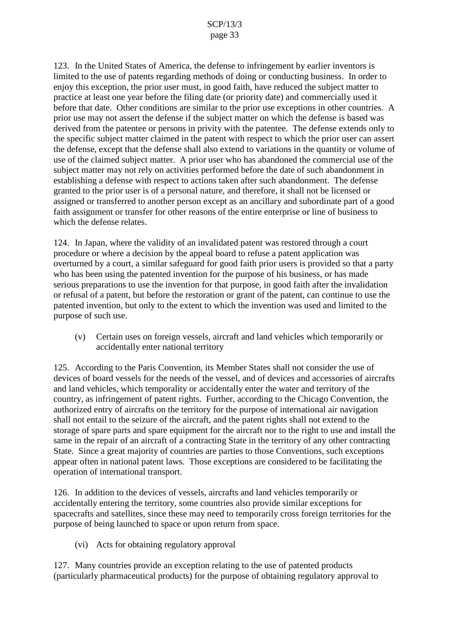123. In the United States of America, the defense to infringement by earlier inventors is limited to the use of patents regarding methods of doing or conducting business. In order to enjoy this exception, the prior user must, in good faith, have reduced the subject matter to practice at least one year before the filing date (or priority date) and commercially used it before that date. Other conditions are similar to the prior use exceptions in other countries. A prior use may not assert the defense if the subject matter on which the defense is based was derived from the patentee or persons in privity with the patentee. The defense extends only to the specific subject matter claimed in the patent with respect to which the prior user can assert the defense, except that the defense shall also extend to variations in the quantity or volume of use of the claimed subject matter. A prior user who has abandoned the commercial use of the subject matter may not rely on activities performed before the date of such abandonment in establishing a defense with respect to actions taken after such abandonment. The defense granted to the prior user is of a personal nature, and therefore, it shall not be licensed or assigned or transferred to another person except as an ancillary and subordinate part of a good faith assignment or transfer for other reasons of the entire enterprise or line of business to which the defense relates.

124. In Japan, where the validity of an invalidated patent was restored through a court procedure or where a decision by the appeal board to refuse a patent application was overturned by a court, a similar safeguard for good faith prior users is provided so that a party who has been using the patented invention for the purpose of his business, or has made serious preparations to use the invention for that purpose, in good faith after the invalidation or refusal of a patent, but before the restoration or grant of the patent, can continue to use the patented invention, but only to the extent to which the invention was used and limited to the purpose of such use.

(v) Certain uses on foreign vessels, aircraft and land vehicles which temporarily or accidentally enter national territory

125. According to the Paris Convention, its Member States shall not consider the use of devices of board vessels for the needs of the vessel, and of devices and accessories of aircrafts and land vehicles, which temporality or accidentally enter the water and territory of the country, as infringement of patent rights. Further, according to the Chicago Convention, the authorized entry of aircrafts on the territory for the purpose of international air navigation shall not entail to the seizure of the aircraft, and the patent rights shall not extend to the storage of spare parts and spare equipment for the aircraft nor to the right to use and install the same in the repair of an aircraft of a contracting State in the territory of any other contracting State. Since a great majority of countries are parties to those Conventions, such exceptions appear often in national patent laws. Those exceptions are considered to be facilitating the operation of international transport.

126. In addition to the devices of vessels, aircrafts and land vehicles temporarily or accidentally entering the territory, some countries also provide similar exceptions for spacecrafts and satellites, since these may need to temporarily cross foreign territories for the purpose of being launched to space or upon return from space.

(vi) Acts for obtaining regulatory approval

127. Many countries provide an exception relating to the use of patented products (particularly pharmaceutical products) for the purpose of obtaining regulatory approval to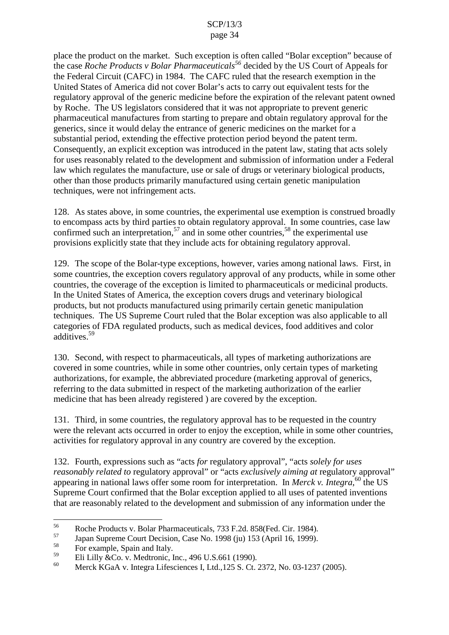place the product on the market. Such exception is often called "Bolar exception" because of the case *Roche Products v Bolar Pharmaceuticals <sup>56</sup>* decided by the US Court of Appeals for the Federal Circuit (CAFC) in 1984. The CAFC ruled that the research exemption in the United States of America did not cover Bolar's acts to carry out equivalent tests for the regulatory approval of the generic medicine before the expiration of the relevant patent owned by Roche. The US legislators considered that it was not appropriate to prevent generic pharmaceutical manufactures from starting to prepare and obtain regulatory approval for the generics, since it would delay the entrance of generic medicines on the market for a substantial period, extending the effective protection period beyond the patent term. Consequently, an explicit exception was introduced in the patent law, stating that acts solely for uses reasonably related to the development and submission of information under a Federal law which regulates the manufacture, use or sale of drugs or veterinary biological products, other than those products primarily manufactured using certain genetic manipulation techniques, were not infringement acts.

128. As states above, in some countries, the experimental use exemption is construed broadly to encompass acts by third parties to obtain regulatory approval. In some countries, case law confirmed such an interpretation,<sup>57</sup> and in some other countries,<sup>58</sup> the experimental use provisions explicitly state that they include acts for obtaining regulatory approval.

129. The scope of the Bolar-type exceptions, however, varies among national laws. First, in some countries, the exception covers regulatory approval of any products, while in some other countries, the coverage of the exception is limited to pharmaceuticals or medicinal products. In the United States of America, the exception covers drugs and veterinary biological products, but not products manufactured using primarily certain genetic manipulation techniques. The US Supreme Court ruled that the Bolar exception was also applicable to all categories of FDA regulated products, such as medical devices, food additives and color additives. 59

130. Second, with respect to pharmaceuticals, all types of marketing authorizations are covered in some countries, while in some other countries, only certain types of marketing authorizations, for example, the abbreviated procedure (marketing approval of generics, referring to the data submitted in respect of the marketing authorization of the earlier medicine that has been already registered ) are covered by the exception.

131. Third, in some countries, the regulatory approval has to be requested in the country were the relevant acts occurred in order to enjoy the exception, while in some other countries, activities for regulatory approval in any country are covered by the exception.

132. Fourth, expressions such as "acts *for* regulatory approval", "acts *solely for uses reasonably related to* regulatory approval" or "acts *exclusively aiming at* regulatory approval" appearing in national laws offer some room for interpretation. In *Merck v. Integra*, <sup>60</sup> the US Supreme Court confirmed that the Bolar exception applied to all uses of patented inventions that are reasonably related to the development and submission of any information under the

<sup>&</sup>lt;sup>56</sup><br>Roche Products v. Bolar Pharmaceuticals, 733 F.2d. 858(Fed. Cir. 1984).<br>Japan Supreme Court Decision, Case No. 1998 (ju) 153 (April 16, 1999).<br>For example, Spain and Italy.<br>Eli Lilly & Co. v. Medtronic, Inc., 496 U.S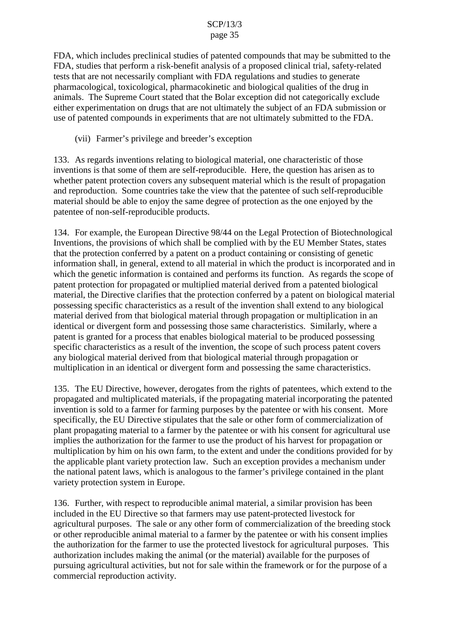# SCP/13/3

## page 35

FDA, which includes preclinical studies of patented compounds that may be submitted to the FDA, studies that perform a risk-benefit analysis of a proposed clinical trial, safety-related tests that are not necessarily compliant with FDA regulations and studies to generate pharmacological, toxicological, pharmacokinetic and biological qualities of the drug in animals. The Supreme Court stated that the Bolar exception did not categorically exclude either experimentation on drugs that are not ultimately the subject of an FDA submission or use of patented compounds in experiments that are not ultimately submitted to the FDA.

(vii) Farmer's privilege and breeder's exception

133. As regards inventions relating to biological material, one characteristic of those inventions is that some of them are self-reproducible. Here, the question has arisen as to whether patent protection covers any subsequent material which is the result of propagation and reproduction. Some countries take the view that the patentee of such self-reproducible material should be able to enjoy the same degree of protection as the one enjoyed by the patentee of non-self-reproducible products.

134. For example, the European Directive 98/44 on the Legal Protection of Biotechnological Inventions, the provisions of which shall be complied with by the EU Member States, states that the protection conferred by a patent on a product containing or consisting of genetic information shall, in general, extend to all material in which the product is incorporated and in which the genetic information is contained and performs its function. As regards the scope of patent protection for propagated or multiplied material derived from a patented biological material, the Directive clarifies that the protection conferred by a patent on biological material possessing specific characteristics as a result of the invention shall extend to any biological material derived from that biological material through propagation or multiplication in an identical or divergent form and possessing those same characteristics. Similarly, where a patent is granted for a process that enables biological material to be produced possessing specific characteristics as a result of the invention, the scope of such process patent covers any biological material derived from that biological material through propagation or multiplication in an identical or divergent form and possessing the same characteristics.

135. The EU Directive, however, derogates from the rights of patentees, which extend to the propagated and multiplicated materials, if the propagating material incorporating the patented invention is sold to a farmer for farming purposes by the patentee or with his consent. More specifically, the EU Directive stipulates that the sale or other form of commercialization of plant propagating material to a farmer by the patentee or with his consent for agricultural use implies the authorization for the farmer to use the product of his harvest for propagation or multiplication by him on his own farm, to the extent and under the conditions provided for by the applicable plant variety protection law. Such an exception provides a mechanism under the national patent laws, which is analogous to the farmer's privilege contained in the plant variety protection system in Europe.

136. Further, with respect to reproducible animal material, a similar provision has been included in the EU Directive so that farmers may use patent-protected livestock for agricultural purposes. The sale or any other form of commercialization of the breeding stock or other reproducible animal material to a farmer by the patentee or with his consent implies the authorization for the farmer to use the protected livestock for agricultural purposes. This authorization includes making the animal (or the material) available for the purposes of pursuing agricultural activities, but not for sale within the framework or for the purpose of a commercial reproduction activity.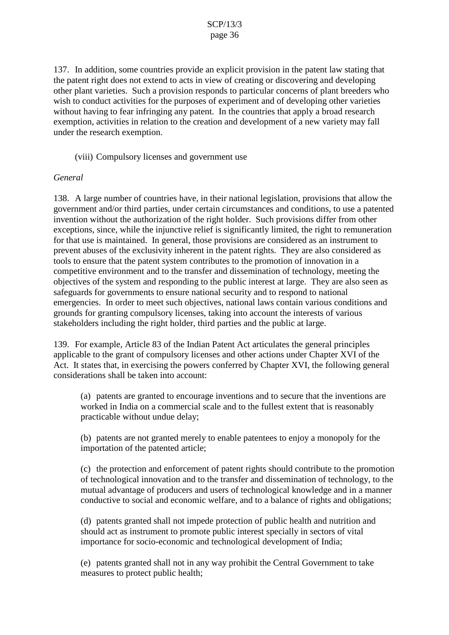137. In addition, some countries provide an explicit provision in the patent law stating that the patent right does not extend to acts in view of creating or discovering and developing other plant varieties. Such a provision responds to particular concerns of plant breeders who wish to conduct activities for the purposes of experiment and of developing other varieties without having to fear infringing any patent. In the countries that apply a broad research exemption, activities in relation to the creation and development of a new variety may fall under the research exemption.

(viii) Compulsory licenses and government use

#### *General*

138. A large number of countries have, in their national legislation, provisions that allow the government and/or third parties, under certain circumstances and conditions, to use a patented invention without the authorization of the right holder. Such provisions differ from other exceptions, since, while the injunctive relief is significantly limited, the right to remuneration for that use is maintained. In general, those provisions are considered as an instrument to prevent abuses of the exclusivity inherent in the patent rights. They are also considered as tools to ensure that the patent system contributes to the promotion of innovation in a competitive environment and to the transfer and dissemination of technology, meeting the objectives of the system and responding to the public interest at large. They are also seen as safeguards for governments to ensure national security and to respond to national emergencies. In order to meet such objectives, national laws contain various conditions and grounds for granting compulsory licenses, taking into account the interests of various stakeholders including the right holder, third parties and the public at large.

139. For example, Article 83 of the Indian Patent Act articulates the general principles applicable to the grant of compulsory licenses and other actions under Chapter XVI of the Act. It states that, in exercising the powers conferred by Chapter XVI, the following general considerations shall be taken into account:

(a) patents are granted to encourage inventions and to secure that the inventions are worked in India on a commercial scale and to the fullest extent that is reasonably practicable without undue delay;

(b) patents are not granted merely to enable patentees to enjoy a monopoly for the importation of the patented article;

(c) the protection and enforcement of patent rights should contribute to the promotion of technological innovation and to the transfer and dissemination of technology, to the mutual advantage of producers and users of technological knowledge and in a manner conductive to social and economic welfare, and to a balance of rights and obligations;

(d) patents granted shall not impede protection of public health and nutrition and should act as instrument to promote public interest specially in sectors of vital importance for socio-economic and technological development of India;

(e) patents granted shall not in any way prohibit the Central Government to take measures to protect public health;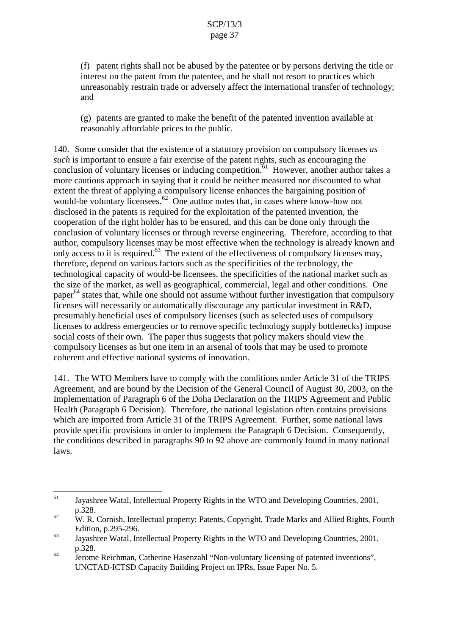(f) patent rights shall not be abused by the patentee or by persons deriving the title or interest on the patent from the patentee, and he shall not resort to practices which unreasonably restrain trade or adversely affect the international transfer of technology; and

(g) patents are granted to make the benefit of the patented invention available at reasonably affordable prices to the public.

140. Some consider that the existence of a statutory provision on compulsory licenses *as such* is important to ensure a fair exercise of the patent rights, such as encouraging the conclusion of voluntary licenses or inducing competition.<sup>61</sup> However, another author takes a more cautious approach in saying that it could be neither measured nor discounted to what extent the threat of applying a compulsory license enhances the bargaining position of would-be voluntary licensees. <sup>62</sup> One author notes that, in cases where know-how not disclosed in the patents is required for the exploitation of the patented invention, the cooperation of the right holder has to be ensured, and this can be done only through the conclusion of voluntary licenses or through reverse engineering. Therefore, according to that author, compulsory licenses may be most effective when the technology is already known and only access to it is required.<sup>63</sup> The extent of the effectiveness of compulsory licenses may, therefore, depend on various factors such as the specificities of the technology, the technological capacity of would-be licensees, the specificities of the national market such as the size of the market, as well as geographical, commercial, legal and other conditions. One paper<sup>64</sup> states that, while one should not assume without further investigation that compulsory licenses will necessarily or automatically discourage any particular investment in R&D, presumably beneficial uses of compulsory licenses (such as selected uses of compulsory licenses to address emergencies or to remove specific technology supply bottlenecks) impose social costs of their own. The paper thus suggests that policy makers should view the compulsory licenses as but one item in an arsenal of tools that may be used to promote coherent and effective national systems of innovation.

141. The WTO Members have to comply with the conditions under Article 31 of the TRIPS Agreement, and are bound by the Decision of the General Council of August 30, 2003, on the Implementation of Paragraph 6 of the Doha Declaration on the TRIPS Agreement and Public Health (Paragraph 6 Decision). Therefore, the national legislation often contains provisions which are imported from Article 31 of the TRIPS Agreement. Further, some national laws provide specific provisions in order to implement the Paragraph 6 Decision. Consequently, the conditions described in paragraphs 90 to 92 above are commonly found in many national laws.

<sup>&</sup>lt;sup>61</sup> Jayashree Watal, Intellectual Property Rights in the WTO and Developing Countries, 2001, p.328.<br>W. R. Cornish, Intellectual property: Patents, Copyright, Trade Marks and Allied Rights, Fourth

Edition, p.295-296.<br>Jayashree Watal, Intellectual Property Rights in the WTO and Developing Countries, 2001,

p.328. <sup>64</sup> Jerome Reichman, Catherine Hasenzahl "Non-voluntary licensing of patented inventions", UNCTAD-ICTSD Capacity Building Project on IPRs, Issue Paper No. 5.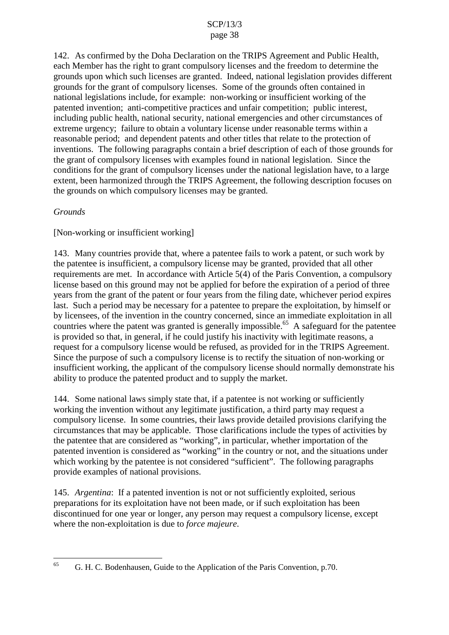# SCP/13/3

# page 38

142. As confirmed by the Doha Declaration on the TRIPS Agreement and Public Health, each Member has the right to grant compulsory licenses and the freedom to determine the grounds upon which such licenses are granted. Indeed, national legislation provides different grounds for the grant of compulsory licenses. Some of the grounds often contained in national legislations include, for example: non-working or insufficient working of the patented invention; anti-competitive practices and unfair competition; public interest, including public health, national security, national emergencies and other circumstances of extreme urgency; failure to obtain a voluntary license under reasonable terms within a reasonable period; and dependent patents and other titles that relate to the protection of inventions. The following paragraphs contain a brief description of each of those grounds for the grant of compulsory licenses with examples found in national legislation. Since the conditions for the grant of compulsory licenses under the national legislation have, to a large extent, been harmonized through the TRIPS Agreement, the following description focuses on the grounds on which compulsory licenses may be granted.

# *Grounds*

[Non-working or insufficient working]

143. Many countries provide that, where a patentee fails to work a patent, or such work by the patentee is insufficient, a compulsory license may be granted, provided that all other requirements are met. In accordance with Article 5(4) of the Paris Convention, a compulsory license based on this ground may not be applied for before the expiration of a period of three years from the grant of the patent or four years from the filing date, whichever period expires last. Such a period may be necessary for a patentee to prepare the exploitation, by himself or by licensees, of the invention in the country concerned, since an immediate exploitation in all countries where the patent was granted is generally impossible.<sup>65</sup> A safeguard for the patentee is provided so that, in general, if he could justify his inactivity with legitimate reasons, a request for a compulsory license would be refused, as provided for in the TRIPS Agreement. Since the purpose of such a compulsory license is to rectify the situation of non-working or insufficient working, the applicant of the compulsory license should normally demonstrate his ability to produce the patented product and to supply the market.

144. Some national laws simply state that, if a patentee is not working or sufficiently working the invention without any legitimate justification, a third party may request a compulsory license. In some countries, their laws provide detailed provisions clarifying the circumstances that may be applicable. Those clarifications include the types of activities by the patentee that are considered as "working", in particular, whether importation of the patented invention is considered as "working" in the country or not, and the situations under which working by the patentee is not considered "sufficient". The following paragraphs provide examples of national provisions.

145. *Argentina*: If a patented invention is not or not sufficiently exploited, serious preparations for its exploitation have not been made, or if such exploitation has been discontinued for one year or longer, any person may request a compulsory license, except where the non-exploitation is due to *force majeure*.

 $65$  G. H. C. Bodenhausen, Guide to the Application of the Paris Convention, p.70.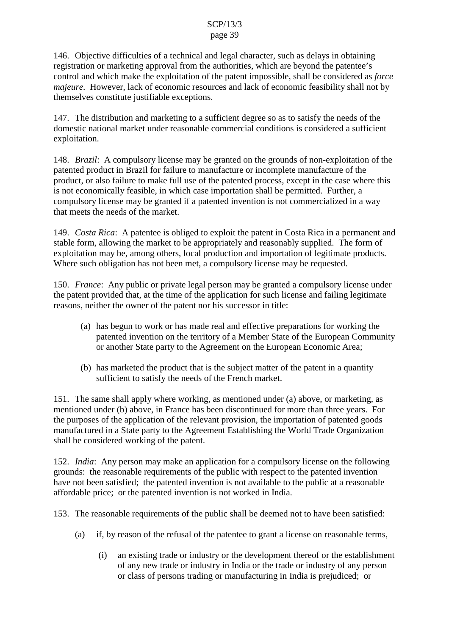146. Objective difficulties of a technical and legal character, such as delays in obtaining registration or marketing approval from the authorities, which are beyond the patentee's control and which make the exploitation of the patent impossible, shall be considered as *force majeure*. However, lack of economic resources and lack of economic feasibility shall not by themselves constitute justifiable exceptions.

147. The distribution and marketing to a sufficient degree so as to satisfy the needs of the domestic national market under reasonable commercial conditions is considered a sufficient exploitation.

148. *Brazil*: A compulsory license may be granted on the grounds of non-exploitation of the patented product in Brazil for failure to manufacture or incomplete manufacture of the product, or also failure to make full use of the patented process, except in the case where this is not economically feasible, in which case importation shall be permitted. Further, a compulsory license may be granted if a patented invention is not commercialized in a way that meets the needs of the market.

149. *Costa Rica*: A patentee is obliged to exploit the patent in Costa Rica in a permanent and stable form, allowing the market to be appropriately and reasonably supplied. The form of exploitation may be, among others, local production and importation of legitimate products. Where such obligation has not been met, a compulsory license may be requested.

150. *France*: Any public or private legal person may be granted a compulsory license under the patent provided that, at the time of the application for such license and failing legitimate reasons, neither the owner of the patent nor his successor in title:

- (a) has begun to work or has made real and effective preparations for working the patented invention on the territory of a Member State of the European Community or another State party to the Agreement on the European Economic Area;
- (b) has marketed the product that is the subject matter of the patent in a quantity sufficient to satisfy the needs of the French market.

151. The same shall apply where working, as mentioned under (a) above, or marketing, as mentioned under (b) above, in France has been discontinued for more than three years. For the purposes of the application of the relevant provision, the importation of patented goods manufactured in a State party to the Agreement Establishing the World Trade Organization shall be considered working of the patent.

152. *India*: Any person may make an application for a compulsory license on the following grounds: the reasonable requirements of the public with respect to the patented invention have not been satisfied; the patented invention is not available to the public at a reasonable affordable price; or the patented invention is not worked in India.

153. The reasonable requirements of the public shall be deemed not to have been satisfied:

- (a) if, by reason of the refusal of the patentee to grant a license on reasonable terms,
	- (i) an existing trade or industry or the development thereof or the establishment of any new trade or industry in India or the trade or industry of any person or class of persons trading or manufacturing in India is prejudiced; or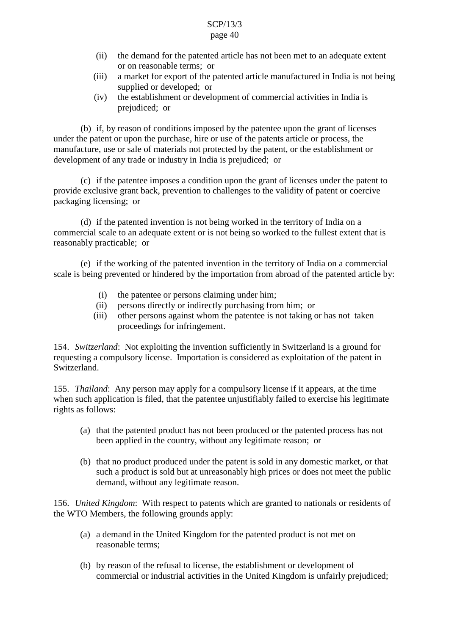- (ii) the demand for the patented article has not been met to an adequate extent or on reasonable terms; or
- (iii) a market for export of the patented article manufactured in India is not being supplied or developed; or
- (iv) the establishment or development of commercial activities in India is prejudiced; or

(b) if, by reason of conditions imposed by the patentee upon the grant of licenses under the patent or upon the purchase, hire or use of the patents article or process, the manufacture, use or sale of materials not protected by the patent, or the establishment or development of any trade or industry in India is prejudiced; or

(c) if the patentee imposes a condition upon the grant of licenses under the patent to provide exclusive grant back, prevention to challenges to the validity of patent or coercive packaging licensing; or

(d) if the patented invention is not being worked in the territory of India on a commercial scale to an adequate extent or is not being so worked to the fullest extent that is reasonably practicable; or

(e) if the working of the patented invention in the territory of India on a commercial scale is being prevented or hindered by the importation from abroad of the patented article by:

- (i) the patentee or persons claiming under him;
- (ii) persons directly or indirectly purchasing from him; or
- (iii) other persons against whom the patentee is not taking or has not taken proceedings for infringement.

154. *Switzerland*: Not exploiting the invention sufficiently in Switzerland is a ground for requesting a compulsory license. Importation is considered as exploitation of the patent in Switzerland.

155. *Thailand*: Any person may apply for a compulsory license if it appears, at the time when such application is filed, that the patentee unjustifiably failed to exercise his legitimate rights as follows:

- (a) that the patented product has not been produced or the patented process has not been applied in the country, without any legitimate reason; or
- (b) that no product produced under the patent is sold in any domestic market, or that such a product is sold but at unreasonably high prices or does not meet the public demand, without any legitimate reason.

156. *United Kingdom*: With respect to patents which are granted to nationals or residents of the WTO Members, the following grounds apply:

- (a) a demand in the United Kingdom for the patented product is not met on reasonable terms;
- (b) by reason of the refusal to license, the establishment or development of commercial or industrial activities in the United Kingdom is unfairly prejudiced;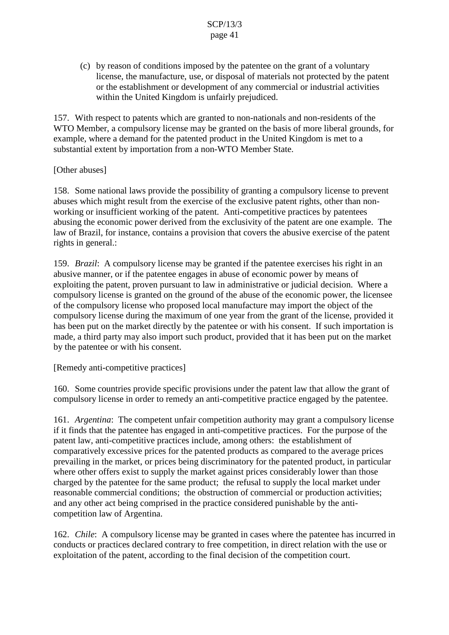(c) by reason of conditions imposed by the patentee on the grant of a voluntary license, the manufacture, use, or disposal of materials not protected by the patent or the establishment or development of any commercial or industrial activities within the United Kingdom is unfairly prejudiced.

157. With respect to patents which are granted to non-nationals and non-residents of the WTO Member, a compulsory license may be granted on the basis of more liberal grounds, for example, where a demand for the patented product in the United Kingdom is met to a substantial extent by importation from a non-WTO Member State.

## [Other abuses]

158. Some national laws provide the possibility of granting a compulsory license to prevent abuses which might result from the exercise of the exclusive patent rights, other than nonworking or insufficient working of the patent. Anti-competitive practices by patentees abusing the economic power derived from the exclusivity of the patent are one example. The law of Brazil, for instance, contains a provision that covers the abusive exercise of the patent rights in general.:

159. *Brazil*: A compulsory license may be granted if the patentee exercises his right in an abusive manner, or if the patentee engages in abuse of economic power by means of exploiting the patent, proven pursuant to law in administrative or judicial decision. Where a compulsory license is granted on the ground of the abuse of the economic power, the licensee of the compulsory license who proposed local manufacture may import the object of the compulsory license during the maximum of one year from the grant of the license, provided it has been put on the market directly by the patentee or with his consent. If such importation is made, a third party may also import such product, provided that it has been put on the market by the patentee or with his consent.

[Remedy anti-competitive practices]

160. Some countries provide specific provisions under the patent law that allow the grant of compulsory license in order to remedy an anti-competitive practice engaged by the patentee.

161. *Argentina*: The competent unfair competition authority may grant a compulsory license if it finds that the patentee has engaged in anti-competitive practices. For the purpose of the patent law, anti-competitive practices include, among others: the establishment of comparatively excessive prices for the patented products as compared to the average prices prevailing in the market, or prices being discriminatory for the patented product, in particular where other offers exist to supply the market against prices considerably lower than those charged by the patentee for the same product; the refusal to supply the local market under reasonable commercial conditions; the obstruction of commercial or production activities; and any other act being comprised in the practice considered punishable by the anticompetition law of Argentina.

162. *Chile*: A compulsory license may be granted in cases where the patentee has incurred in conducts or practices declared contrary to free competition, in direct relation with the use or exploitation of the patent, according to the final decision of the competition court.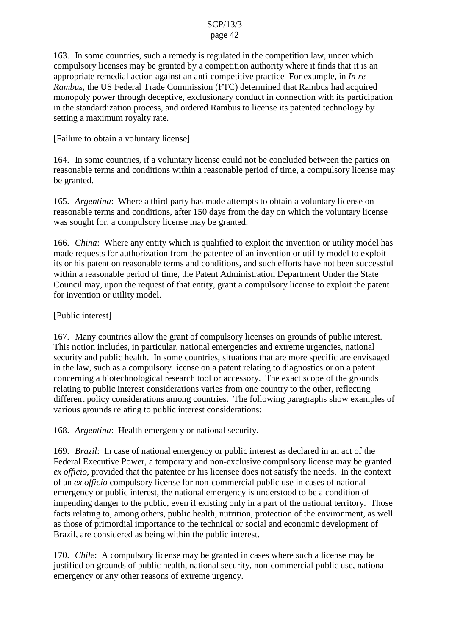## 163. In some countries, such a remedy is regulated in the competition law, under which compulsory licenses may be granted by a competition authority where it finds that it is an appropriate remedial action against an anti-competitive practice For example, in *In re Rambus*, the US Federal Trade Commission (FTC) determined that Rambus had acquired monopoly power through deceptive, exclusionary conduct in connection with its participation in the standardization process, and ordered Rambus to license its patented technology by setting a maximum royalty rate.

## [Failure to obtain a voluntary license]

164. In some countries, if a voluntary license could not be concluded between the parties on reasonable terms and conditions within a reasonable period of time, a compulsory license may be granted.

165. *Argentina*: Where a third party has made attempts to obtain a voluntary license on reasonable terms and conditions, after 150 days from the day on which the voluntary license was sought for, a compulsory license may be granted.

166. *China*: Where any entity which is qualified to exploit the invention or utility model has made requests for authorization from the patentee of an invention or utility model to exploit its or his patent on reasonable terms and conditions, and such efforts have not been successful within a reasonable period of time, the Patent Administration Department Under the State Council may, upon the request of that entity, grant a compulsory license to exploit the patent for invention or utility model.

## [Public interest]

167. Many countries allow the grant of compulsory licenses on grounds of public interest. This notion includes, in particular, national emergencies and extreme urgencies, national security and public health. In some countries, situations that are more specific are envisaged in the law, such as a compulsory license on a patent relating to diagnostics or on a patent concerning a biotechnological research tool or accessory. The exact scope of the grounds relating to public interest considerations varies from one country to the other, reflecting different policy considerations among countries. The following paragraphs show examples of various grounds relating to public interest considerations:

168. *Argentina*: Health emergency or national security.

169. *Brazil*: In case of national emergency or public interest as declared in an act of the Federal Executive Power, a temporary and non-exclusive compulsory license may be granted *ex officio*, provided that the patentee or his licensee does not satisfy the needs. In the context of an *ex officio* compulsory license for non-commercial public use in cases of national emergency or public interest, the national emergency is understood to be a condition of impending danger to the public, even if existing only in a part of the national territory. Those facts relating to, among others, public health, nutrition, protection of the environment, as well as those of primordial importance to the technical or social and economic development of Brazil, are considered as being within the public interest.

170. *Chile*: A compulsory license may be granted in cases where such a license may be justified on grounds of public health, national security, non-commercial public use, national emergency or any other reasons of extreme urgency.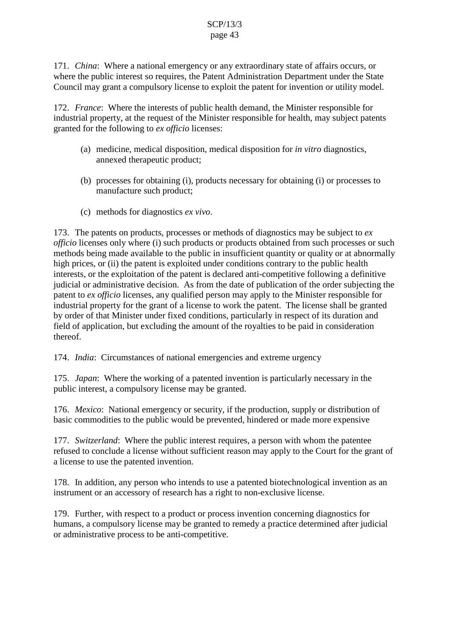171. *China*: Where a national emergency or any extraordinary state of affairs occurs, or where the public interest so requires, the Patent Administration Department under the State Council may grant a compulsory license to exploit the patent for invention or utility model.

172. *France*: Where the interests of public health demand, the Minister responsible for industrial property, at the request of the Minister responsible for health, may subject patents granted for the following to *ex officio* licenses:

- (a) medicine, medical disposition, medical disposition for *in vitro* diagnostics, annexed therapeutic product;
- (b) processes for obtaining (i), products necessary for obtaining (i) or processes to manufacture such product;
- (c) methods for diagnostics *ex vivo*.

173. The patents on products, processes or methods of diagnostics may be subject to *ex officio* licenses only where (i) such products or products obtained from such processes or such methods being made available to the public in insufficient quantity or quality or at abnormally high prices, or (ii) the patent is exploited under conditions contrary to the public health interests, or the exploitation of the patent is declared anti-competitive following a definitive judicial or administrative decision. As from the date of publication of the order subjecting the patent to *ex officio* licenses, any qualified person may apply to the Minister responsible for industrial property for the grant of a license to work the patent. The license shall be granted by order of that Minister under fixed conditions, particularly in respect of its duration and field of application, but excluding the amount of the royalties to be paid in consideration thereof.

174. *India*: Circumstances of national emergencies and extreme urgency

175. *Japan*: Where the working of a patented invention is particularly necessary in the public interest, a compulsory license may be granted.

176. *Mexico*: National emergency or security, if the production, supply or distribution of basic commodities to the public would be prevented, hindered or made more expensive

177. *Switzerland*: Where the public interest requires, a person with whom the patentee refused to conclude a license without sufficient reason may apply to the Court for the grant of a license to use the patented invention.

178. In addition, any person who intends to use a patented biotechnological invention as an instrument or an accessory of research has a right to non-exclusive license.

179. Further, with respect to a product or process invention concerning diagnostics for humans, a compulsory license may be granted to remedy a practice determined after judicial or administrative process to be anti-competitive.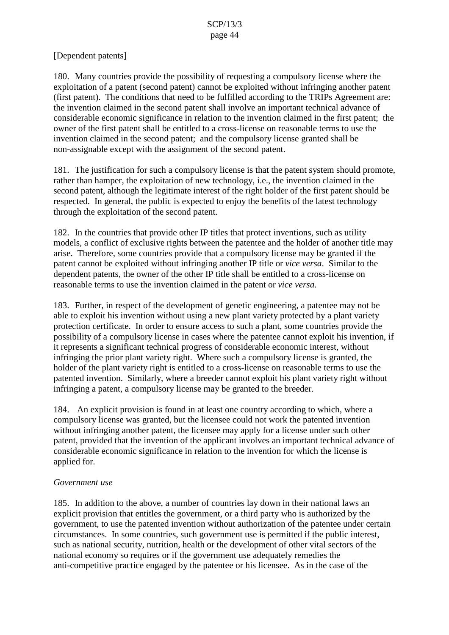# [Dependent patents]

180. Many countries provide the possibility of requesting a compulsory license where the exploitation of a patent (second patent) cannot be exploited without infringing another patent (first patent). The conditions that need to be fulfilled according to the TRIPs Agreement are: the invention claimed in the second patent shall involve an important technical advance of considerable economic significance in relation to the invention claimed in the first patent; the owner of the first patent shall be entitled to a cross-license on reasonable terms to use the invention claimed in the second patent; and the compulsory license granted shall be non-assignable except with the assignment of the second patent.

181. The justification for such a compulsory license is that the patent system should promote, rather than hamper, the exploitation of new technology, i.e., the invention claimed in the second patent, although the legitimate interest of the right holder of the first patent should be respected. In general, the public is expected to enjoy the benefits of the latest technology through the exploitation of the second patent.

182. In the countries that provide other IP titles that protect inventions, such as utility models, a conflict of exclusive rights between the patentee and the holder of another title may arise. Therefore, some countries provide that a compulsory license may be granted if the patent cannot be exploited without infringing another IP title or *vice versa*. Similar to the dependent patents, the owner of the other IP title shall be entitled to a cross-license on reasonable terms to use the invention claimed in the patent or *vice versa*.

183. Further, in respect of the development of genetic engineering, a patentee may not be able to exploit his invention without using a new plant variety protected by a plant variety protection certificate. In order to ensure access to such a plant, some countries provide the possibility of a compulsory license in cases where the patentee cannot exploit his invention, if it represents a significant technical progress of considerable economic interest, without infringing the prior plant variety right. Where such a compulsory license is granted, the holder of the plant variety right is entitled to a cross-license on reasonable terms to use the patented invention. Similarly, where a breeder cannot exploit his plant variety right without infringing a patent, a compulsory license may be granted to the breeder.

184. An explicit provision is found in at least one country according to which, where a compulsory license was granted, but the licensee could not work the patented invention without infringing another patent, the licensee may apply for a license under such other patent, provided that the invention of the applicant involves an important technical advance of considerable economic significance in relation to the invention for which the license is applied for.

# *Government use*

185. In addition to the above, a number of countries lay down in their national laws an explicit provision that entitles the government, or a third party who is authorized by the government, to use the patented invention without authorization of the patentee under certain circumstances. In some countries, such government use is permitted if the public interest, such as national security, nutrition, health or the development of other vital sectors of the national economy so requires or if the government use adequately remedies the anti-competitive practice engaged by the patentee or his licensee. As in the case of the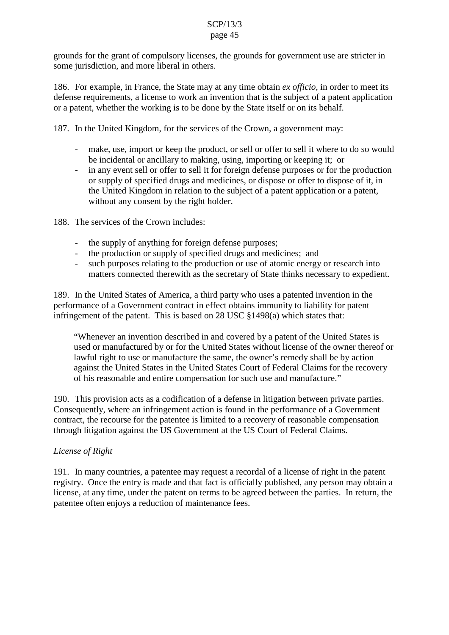grounds for the grant of compulsory licenses, the grounds for government use are stricter in some jurisdiction, and more liberal in others.

186. For example, in France, the State may at any time obtain *ex officio,* in order to meet its defense requirements, a license to work an invention that is the subject of a patent application or a patent, whether the working is to be done by the State itself or on its behalf.

187. In the United Kingdom, for the services of the Crown, a government may:

- make, use, import or keep the product, or sell or offer to sell it where to do so would be incidental or ancillary to making, using, importing or keeping it; or
- in any event sell or offer to sell it for foreign defense purposes or for the production or supply of specified drugs and medicines, or dispose or offer to dispose of it, in the United Kingdom in relation to the subject of a patent application or a patent, without any consent by the right holder.

188. The services of the Crown includes:

- the supply of anything for foreign defense purposes;
- the production or supply of specified drugs and medicines; and
- such purposes relating to the production or use of atomic energy or research into matters connected therewith as the secretary of State thinks necessary to expedient.

189. In the United States of America, a third party who uses a patented invention in the performance of a Government contract in effect obtains immunity to liability for patent infringement of the patent. This is based on 28 USC §1498(a) which states that:

"Whenever an invention described in and covered by a patent of the United States is used or manufactured by or for the United States without license of the owner thereof or lawful right to use or manufacture the same, the owner's remedy shall be by action against the United States in the United States Court of Federal Claims for the recovery of his reasonable and entire compensation for such use and manufacture."

190. This provision acts as a codification of a defense in litigation between private parties. Consequently, where an infringement action is found in the performance of a Government contract, the recourse for the patentee is limited to a recovery of reasonable compensation through litigation against the US Government at the US Court of Federal Claims.

# *License of Right*

191. In many countries, a patentee may request a recordal of a license of right in the patent registry. Once the entry is made and that fact is officially published, any person may obtain a license, at any time, under the patent on terms to be agreed between the parties. In return, the patentee often enjoys a reduction of maintenance fees.